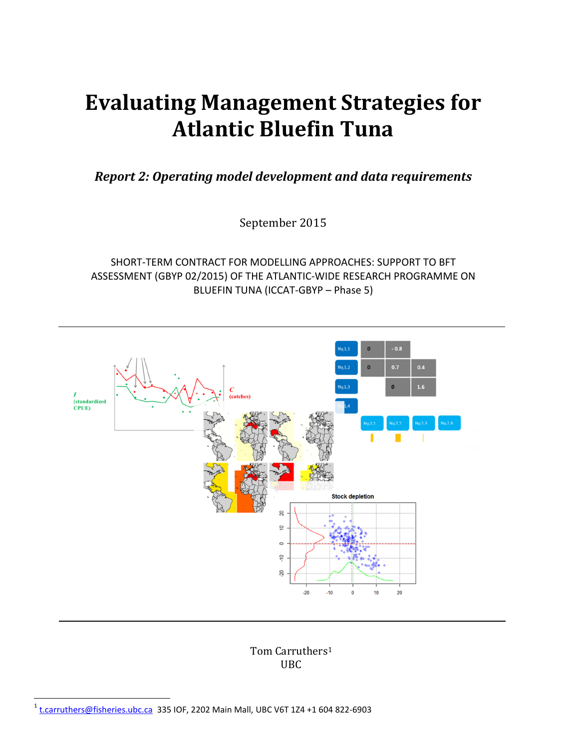# Evaluating Management Strategies for Atlantic Bluefin Tuna

Report 2: Operating model development and data requirements

September 2015

SHORT-TERM CONTRACT FOR MODELLING APPROACHES: SUPPORT TO BFT ASSESSMENT (GBYP 02/2015) OF THE ATLANTIC-WIDE RESEARCH PROGRAMME ON BLUEFIN TUNA (ICCAT-GBYP – Phase 5)



## Tom Carruthers<sup>1</sup> UBC

 $\overline{a}$ 

<sup>1</sup> t.carruthers@fisheries.ubc.ca 335 IOF, 2202 Main Mall, UBC V6T 1Z4 +1 604 822-6903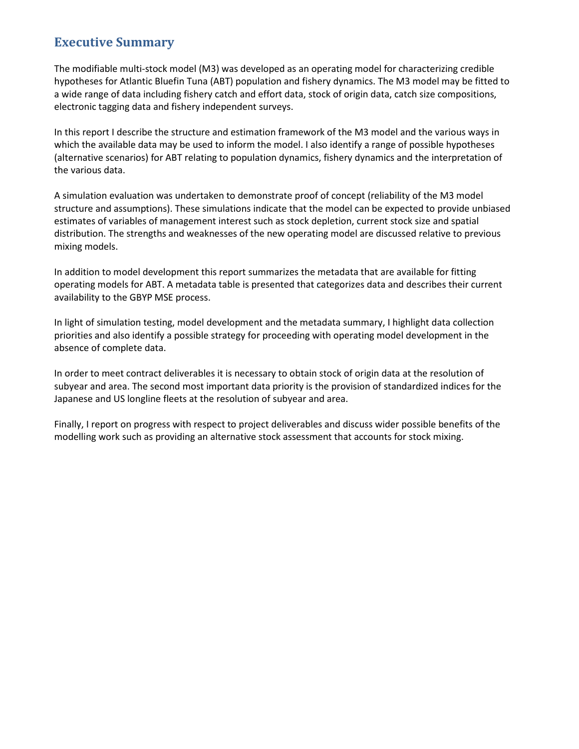# Executive Summary

The modifiable multi-stock model (M3) was developed as an operating model for characterizing credible hypotheses for Atlantic Bluefin Tuna (ABT) population and fishery dynamics. The M3 model may be fitted to a wide range of data including fishery catch and effort data, stock of origin data, catch size compositions, electronic tagging data and fishery independent surveys.

In this report I describe the structure and estimation framework of the M3 model and the various ways in which the available data may be used to inform the model. I also identify a range of possible hypotheses (alternative scenarios) for ABT relating to population dynamics, fishery dynamics and the interpretation of the various data.

A simulation evaluation was undertaken to demonstrate proof of concept (reliability of the M3 model structure and assumptions). These simulations indicate that the model can be expected to provide unbiased estimates of variables of management interest such as stock depletion, current stock size and spatial distribution. The strengths and weaknesses of the new operating model are discussed relative to previous mixing models.

In addition to model development this report summarizes the metadata that are available for fitting operating models for ABT. A metadata table is presented that categorizes data and describes their current availability to the GBYP MSE process.

In light of simulation testing, model development and the metadata summary, I highlight data collection priorities and also identify a possible strategy for proceeding with operating model development in the absence of complete data.

In order to meet contract deliverables it is necessary to obtain stock of origin data at the resolution of subyear and area. The second most important data priority is the provision of standardized indices for the Japanese and US longline fleets at the resolution of subyear and area.

Finally, I report on progress with respect to project deliverables and discuss wider possible benefits of the modelling work such as providing an alternative stock assessment that accounts for stock mixing.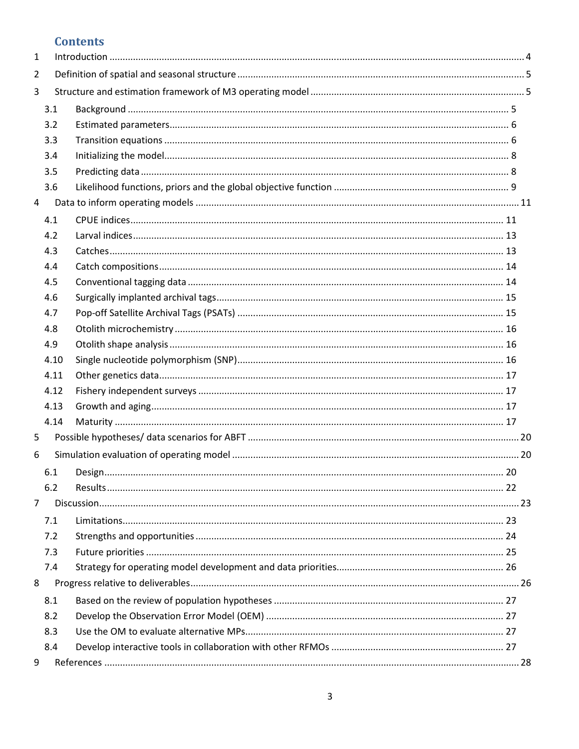# **Contents**

| 1              |      |        |      |  |  |  |  |  |
|----------------|------|--------|------|--|--|--|--|--|
| $\overline{2}$ |      |        |      |  |  |  |  |  |
| 3              |      |        |      |  |  |  |  |  |
|                | 3.1  |        |      |  |  |  |  |  |
|                | 3.2  |        |      |  |  |  |  |  |
|                | 3.3  |        |      |  |  |  |  |  |
|                | 3.4  |        |      |  |  |  |  |  |
|                | 3.5  |        |      |  |  |  |  |  |
|                | 3.6  |        |      |  |  |  |  |  |
| 4              |      |        |      |  |  |  |  |  |
|                | 4.1  |        |      |  |  |  |  |  |
|                | 4.2  |        |      |  |  |  |  |  |
|                | 4.3  |        |      |  |  |  |  |  |
|                | 4.4  |        |      |  |  |  |  |  |
|                | 4.5  |        |      |  |  |  |  |  |
|                | 4.6  |        |      |  |  |  |  |  |
|                | 4.7  |        |      |  |  |  |  |  |
|                | 4.8  |        |      |  |  |  |  |  |
|                | 4.9  |        |      |  |  |  |  |  |
|                | 4.10 |        |      |  |  |  |  |  |
|                | 4.11 |        |      |  |  |  |  |  |
|                | 4.12 |        |      |  |  |  |  |  |
|                | 4.13 |        |      |  |  |  |  |  |
|                | 4.14 |        |      |  |  |  |  |  |
| 5              |      |        |      |  |  |  |  |  |
| 6              |      |        |      |  |  |  |  |  |
|                | 6.1  | Design | . 20 |  |  |  |  |  |
|                | 6.2  |        |      |  |  |  |  |  |
| $\overline{7}$ |      |        |      |  |  |  |  |  |
|                | 7.1  |        |      |  |  |  |  |  |
|                | 7.2  |        |      |  |  |  |  |  |
|                | 7.3  |        |      |  |  |  |  |  |
|                | 7.4  |        |      |  |  |  |  |  |
| 8              |      |        |      |  |  |  |  |  |
|                | 8.1  |        |      |  |  |  |  |  |
|                | 8.2  |        |      |  |  |  |  |  |
|                | 8.3  |        |      |  |  |  |  |  |
|                | 8.4  |        |      |  |  |  |  |  |
| 9              |      |        |      |  |  |  |  |  |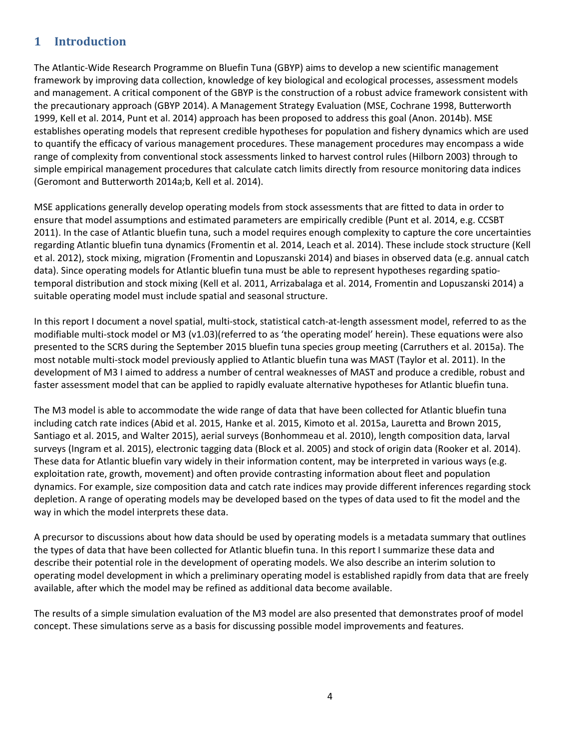# 1 Introduction

The Atlantic-Wide Research Programme on Bluefin Tuna (GBYP) aims to develop a new scientific management framework by improving data collection, knowledge of key biological and ecological processes, assessment models and management. A critical component of the GBYP is the construction of a robust advice framework consistent with the precautionary approach (GBYP 2014). A Management Strategy Evaluation (MSE, Cochrane 1998, Butterworth 1999, Kell et al. 2014, Punt et al. 2014) approach has been proposed to address this goal (Anon. 2014b). MSE establishes operating models that represent credible hypotheses for population and fishery dynamics which are used to quantify the efficacy of various management procedures. These management procedures may encompass a wide range of complexity from conventional stock assessments linked to harvest control rules (Hilborn 2003) through to simple empirical management procedures that calculate catch limits directly from resource monitoring data indices (Geromont and Butterworth 2014a;b, Kell et al. 2014).

MSE applications generally develop operating models from stock assessments that are fitted to data in order to ensure that model assumptions and estimated parameters are empirically credible (Punt et al. 2014, e.g. CCSBT 2011). In the case of Atlantic bluefin tuna, such a model requires enough complexity to capture the core uncertainties regarding Atlantic bluefin tuna dynamics (Fromentin et al. 2014, Leach et al. 2014). These include stock structure (Kell et al. 2012), stock mixing, migration (Fromentin and Lopuszanski 2014) and biases in observed data (e.g. annual catch data). Since operating models for Atlantic bluefin tuna must be able to represent hypotheses regarding spatiotemporal distribution and stock mixing (Kell et al. 2011, Arrizabalaga et al. 2014, Fromentin and Lopuszanski 2014) a suitable operating model must include spatial and seasonal structure.

In this report I document a novel spatial, multi-stock, statistical catch-at-length assessment model, referred to as the modifiable multi-stock model or M3 (v1.03)(referred to as 'the operating model' herein). These equations were also presented to the SCRS during the September 2015 bluefin tuna species group meeting (Carruthers et al. 2015a). The most notable multi-stock model previously applied to Atlantic bluefin tuna was MAST (Taylor et al. 2011). In the development of M3 I aimed to address a number of central weaknesses of MAST and produce a credible, robust and faster assessment model that can be applied to rapidly evaluate alternative hypotheses for Atlantic bluefin tuna.

The M3 model is able to accommodate the wide range of data that have been collected for Atlantic bluefin tuna including catch rate indices (Abid et al. 2015, Hanke et al. 2015, Kimoto et al. 2015a, Lauretta and Brown 2015, Santiago et al. 2015, and Walter 2015), aerial surveys (Bonhommeau et al. 2010), length composition data, larval surveys (Ingram et al. 2015), electronic tagging data (Block et al. 2005) and stock of origin data (Rooker et al. 2014). These data for Atlantic bluefin vary widely in their information content, may be interpreted in various ways (e.g. exploitation rate, growth, movement) and often provide contrasting information about fleet and population dynamics. For example, size composition data and catch rate indices may provide different inferences regarding stock depletion. A range of operating models may be developed based on the types of data used to fit the model and the way in which the model interprets these data.

A precursor to discussions about how data should be used by operating models is a metadata summary that outlines the types of data that have been collected for Atlantic bluefin tuna. In this report I summarize these data and describe their potential role in the development of operating models. We also describe an interim solution to operating model development in which a preliminary operating model is established rapidly from data that are freely available, after which the model may be refined as additional data become available.

The results of a simple simulation evaluation of the M3 model are also presented that demonstrates proof of model concept. These simulations serve as a basis for discussing possible model improvements and features.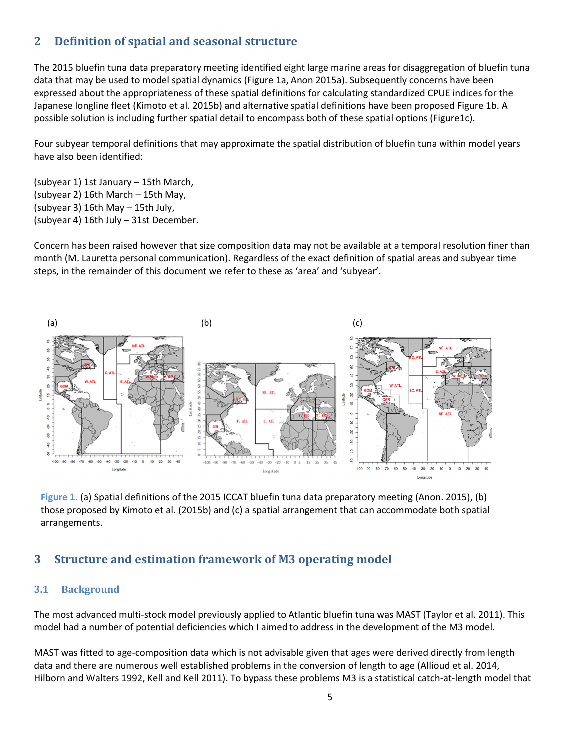## 2 Definition of spatial and seasonal structure

The 2015 bluefin tuna data preparatory meeting identified eight large marine areas for disaggregation of bluefin tuna data that may be used to model spatial dynamics (Figure 1a, Anon 2015a). Subsequently concerns have been expressed about the appropriateness of these spatial definitions for calculating standardized CPUE indices for the Japanese longline fleet (Kimoto et al. 2015b) and alternative spatial definitions have been proposed Figure 1b. A possible solution is including further spatial detail to encompass both of these spatial options (Figure1c).

Four subyear temporal definitions that may approximate the spatial distribution of bluefin tuna within model years have also been identified:

(subyear 1) 1st January – 15th March, (subyear 2) 16th March – 15th May,

- (subyear 3) 16th May 15th July,
- (subyear 4) 16th July 31st December.

Concern has been raised however that size composition data may not be available at a temporal resolution finer than month (M. Lauretta personal communication). Regardless of the exact definition of spatial areas and subyear time steps, in the remainder of this document we refer to these as 'area' and 'subyear'.



Figure 1. (a) Spatial definitions of the 2015 ICCAT bluefin tuna data preparatory meeting (Anon. 2015), (b) those proposed by Kimoto et al. (2015b) and (c) a spatial arrangement that can accommodate both spatial arrangements.

## 3 Structure and estimation framework of M3 operating model

#### 3.1 Background

The most advanced multi-stock model previously applied to Atlantic bluefin tuna was MAST (Taylor et al. 2011). This model had a number of potential deficiencies which I aimed to address in the development of the M3 model.

MAST was fitted to age-composition data which is not advisable given that ages were derived directly from length data and there are numerous well established problems in the conversion of length to age (Allioud et al. 2014, Hilborn and Walters 1992, Kell and Kell 2011). To bypass these problems M3 is a statistical catch-at-length model that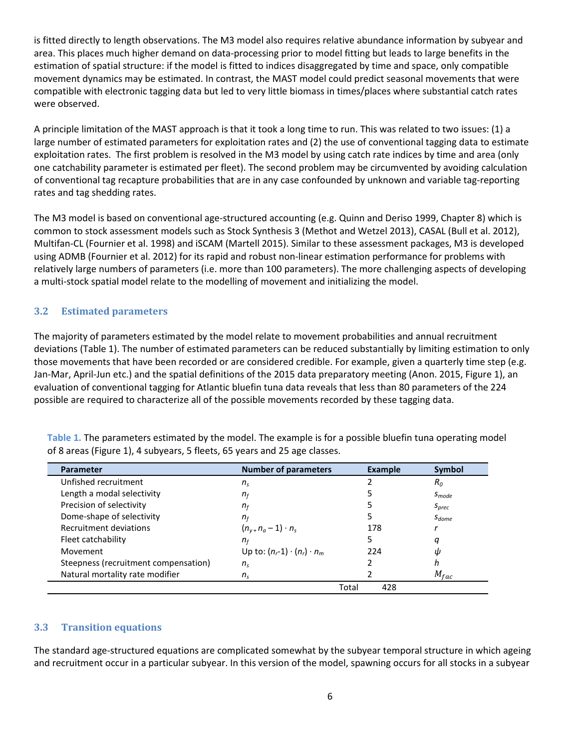is fitted directly to length observations. The M3 model also requires relative abundance information by subyear and area. This places much higher demand on data-processing prior to model fitting but leads to large benefits in the estimation of spatial structure: if the model is fitted to indices disaggregated by time and space, only compatible movement dynamics may be estimated. In contrast, the MAST model could predict seasonal movements that were compatible with electronic tagging data but led to very little biomass in times/places where substantial catch rates were observed.

A principle limitation of the MAST approach is that it took a long time to run. This was related to two issues: (1) a large number of estimated parameters for exploitation rates and (2) the use of conventional tagging data to estimate exploitation rates. The first problem is resolved in the M3 model by using catch rate indices by time and area (only one catchability parameter is estimated per fleet). The second problem may be circumvented by avoiding calculation of conventional tag recapture probabilities that are in any case confounded by unknown and variable tag-reporting rates and tag shedding rates.

The M3 model is based on conventional age-structured accounting (e.g. Quinn and Deriso 1999, Chapter 8) which is common to stock assessment models such as Stock Synthesis 3 (Methot and Wetzel 2013), CASAL (Bull et al. 2012), Multifan-CL (Fournier et al. 1998) and iSCAM (Martell 2015). Similar to these assessment packages, M3 is developed using ADMB (Fournier et al. 2012) for its rapid and robust non-linear estimation performance for problems with relatively large numbers of parameters (i.e. more than 100 parameters). The more challenging aspects of developing a multi-stock spatial model relate to the modelling of movement and initializing the model.

## 3.2 Estimated parameters

The majority of parameters estimated by the model relate to movement probabilities and annual recruitment deviations (Table 1). The number of estimated parameters can be reduced substantially by limiting estimation to only those movements that have been recorded or are considered credible. For example, given a quarterly time step (e.g. Jan-Mar, April-Jun etc.) and the spatial definitions of the 2015 data preparatory meeting (Anon. 2015, Figure 1), an evaluation of conventional tagging for Atlantic bluefin tuna data reveals that less than 80 parameters of the 224 possible are required to characterize all of the possible movements recorded by these tagging data.

| Parameter                            | <b>Number of parameters</b>            | <b>Example</b> | Symbol            |
|--------------------------------------|----------------------------------------|----------------|-------------------|
| Unfished recruitment                 | $n_{s}$                                |                | $R_0$             |
| Length a modal selectivity           | $n_{\rm f}$                            |                | $S_{mode}$        |
| Precision of selectivity             | $n_{\rm f}$                            |                | $S_{\text{prec}}$ |
| Dome-shape of selectivity            | $n_{\rm f}$                            |                | $S_{done}$        |
| Recruitment deviations               | $(n_{v+}n_{a}-1)\cdot n_{s}$           | 178            |                   |
| Fleet catchability                   | $n_f$                                  | 5              | a                 |
| Movement                             | Up to: $(n_r-1) \cdot (n_r) \cdot n_m$ | 224            | Ш                 |
| Steepness (recruitment compensation) | $n_{s}$                                |                | h                 |
| Natural mortality rate modifier      | $n_{s}$                                |                | $M_{fac}$         |
|                                      |                                        | Total<br>428   |                   |

٦

Table 1. The parameters estimated by the model. The example is for a possible bluefin tuna operating model of 8 areas (Figure 1), 4 subyears, 5 fleets, 65 years and 25 age classes.

#### 3.3 Transition equations

The standard age-structured equations are complicated somewhat by the subyear temporal structure in which ageing and recruitment occur in a particular subyear. In this version of the model, spawning occurs for all stocks in a subyear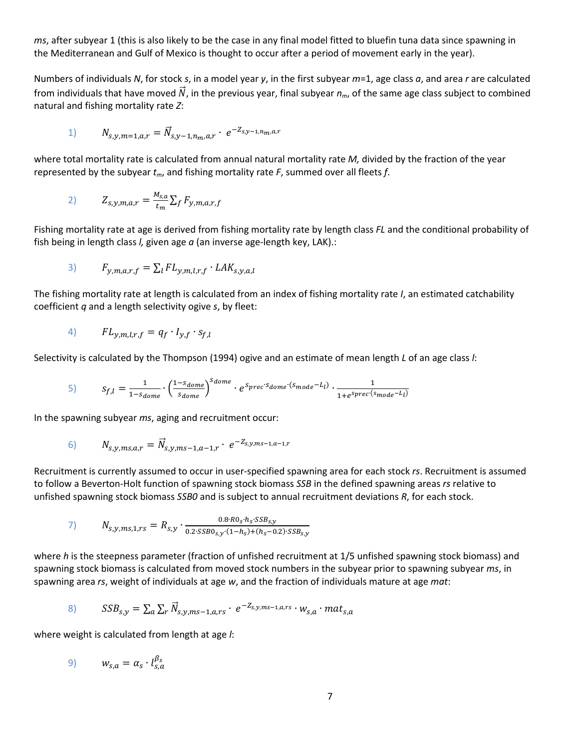ms, after subyear 1 (this is also likely to be the case in any final model fitted to bluefin tuna data since spawning in the Mediterranean and Gulf of Mexico is thought to occur after a period of movement early in the year).

Numbers of individuals N, for stock s, in a model year y, in the first subyear  $m=1$ , age class a, and area r are calculated from individuals that have moved  $\vec{N}$ , in the previous year, final subyear  $n_m$ , of the same age class subject to combined natural and fishing mortality rate Z:

1) 
$$
N_{s,y,m=1,a,r} = \vec{N}_{s,y-1,n_m,a,r} \cdot e^{-Z_{s,y-1,n_m,a,r}}
$$

where total mortality rate is calculated from annual natural mortality rate  $M$ , divided by the fraction of the year represented by the subyear  $t_m$ , and fishing mortality rate F, summed over all fleets f.

2) 
$$
Z_{s,y,m,a,r} = \frac{M_{s,a}}{t_m} \sum_{f} F_{y,m,a,r,f}
$$

Fishing mortality rate at age is derived from fishing mortality rate by length class FL and the conditional probability of fish being in length class *l*, given age  $a$  (an inverse age-length key, LAK).:

3) 
$$
F_{y,m,a,r,f} = \sum_l FL_{y,m,l,r,f} \cdot LAK_{s,y,a,l}
$$

The fishing mortality rate at length is calculated from an index of fishing mortality rate I, an estimated catchability coefficient  $q$  and a length selectivity ogive  $s$ , by fleet:

4) 
$$
FL_{y,m,l,r,f} = q_f \cdot I_{y,f} \cdot s_{f,l}
$$

Selectivity is calculated by the Thompson (1994) ogive and an estimate of mean length L of an age class l:

$$
S_{f,l} = \frac{1}{1 - s_{dome}} \cdot \left(\frac{1 - s_{dome}}{s_{dome}}\right)^{s_{dome}} \cdot e^{s_{prec} \cdot s_{dome} \cdot (s_{mode} - L_l)} \cdot \frac{1}{1 + e^{s_{prec} \cdot (s_{mode} - L_l)}}
$$

In the spawning subyear ms, aging and recruitment occur:

6) 
$$
N_{s,y,ms,a,r} = \vec{N}_{s,y,ms-1,a-1,r} \cdot e^{-Z_{s,y,ms-1,a-1,r}}
$$

Recruitment is currently assumed to occur in user-specified spawning area for each stock rs. Recruitment is assumed to follow a Beverton-Holt function of spawning stock biomass SSB in the defined spawning areas rs relative to unfished spawning stock biomass SSBO and is subject to annual recruitment deviations R, for each stock.

7) 
$$
N_{s,y,ms,1,rs} = R_{s,y} \cdot \frac{0.8 \cdot R0_s \cdot h_s \cdot SSB_{s,y}}{0.2 \cdot SSB_{0s,y} \cdot (1-h_s) + (h_s - 0.2) \cdot SSB_{s,y}}
$$

where h is the steepness parameter (fraction of unfished recruitment at 1/5 unfished spawning stock biomass) and spawning stock biomass is calculated from moved stock numbers in the subyear prior to spawning subyear ms, in spawning area rs, weight of individuals at age w, and the fraction of individuals mature at age mat:

8) 
$$
SSB_{s,y} = \sum_{a} \sum_{r} \overrightarrow{N}_{s,y,ms-1,a,rs} \cdot e^{-Z_{s,y,ms-1,a,rs}} \cdot w_{s,a} \cdot mat_{s,a}
$$

where weight is calculated from length at age *:* 

$$
9) \t w_{s,a} = \alpha_s \cdot l_{s,a}^{\beta_s}
$$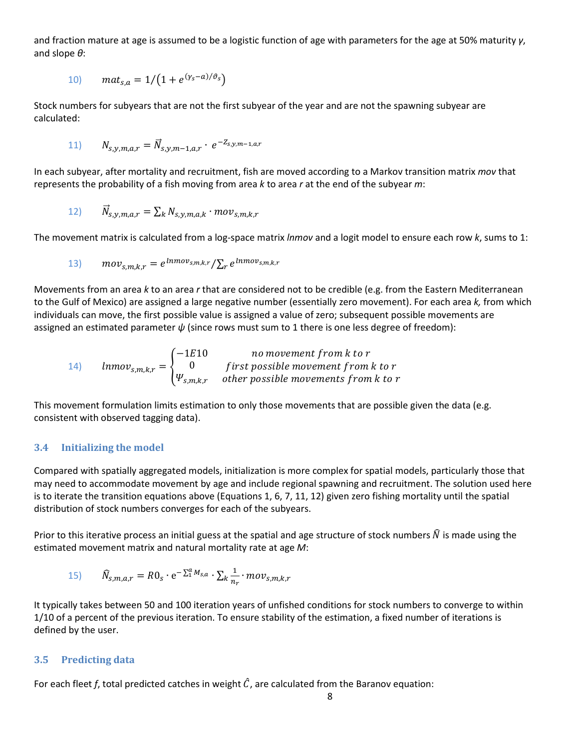and fraction mature at age is assumed to be a logistic function of age with parameters for the age at 50% maturity  $\gamma$ , and slope  $\theta$ :

10) 
$$
mat_{s,a} = 1/(1 + e^{(\gamma_s - a)/\vartheta_s})
$$

Stock numbers for subyears that are not the first subyear of the year and are not the spawning subyear are calculated:

11) 
$$
N_{s,y,m,a,r} = \vec{N}_{s,y,m-1,a,r} \cdot e^{-Z_{s,y,m-1,a,r}}
$$

In each subyear, after mortality and recruitment, fish are moved according to a Markov transition matrix mov that represents the probability of a fish moving from area  $k$  to area  $r$  at the end of the subyear  $m$ :

12) 
$$
\vec{N}_{s,y,m,a,r} = \sum_{k} N_{s,y,m,a,k} \cdot mov_{s,m,k,r}
$$

The movement matrix is calculated from a log-space matrix *lnmov* and a logit model to ensure each row k, sums to 1:

13) 
$$
mov_{s,m,k,r} = e^{lmmov_{s,m,k,r}} / \sum_{r} e^{lmmov_{s,m,k,r}}
$$

Movements from an area k to an area r that are considered not to be credible (e.g. from the Eastern Mediterranean to the Gulf of Mexico) are assigned a large negative number (essentially zero movement). For each area k, from which individuals can move, the first possible value is assigned a value of zero; subsequent possible movements are assigned an estimated parameter  $\psi$  (since rows must sum to 1 there is one less degree of freedom):

14) 
$$
lmov_{s,m,k,r} = \begin{cases} -1E10 & no movement from k to r \\ 0 & first possible movement from k to r \\ \Psi_{s,m,k,r} & other possible movements from k to r \end{cases}
$$

This movement formulation limits estimation to only those movements that are possible given the data (e.g. consistent with observed tagging data).

#### 3.4 Initializing the model

Compared with spatially aggregated models, initialization is more complex for spatial models, particularly those that may need to accommodate movement by age and include regional spawning and recruitment. The solution used here is to iterate the transition equations above (Equations 1, 6, 7, 11, 12) given zero fishing mortality until the spatial distribution of stock numbers converges for each of the subyears.

Prior to this iterative process an initial guess at the spatial and age structure of stock numbers  $\hat{N}$  is made using the estimated movement matrix and natural mortality rate at age M:

15) 
$$
\widehat{N}_{s,m,a,r} = R0_s \cdot e^{-\sum_{1}^{a} M_{s,a}} \cdot \sum_{k} \frac{1}{n_r} \cdot mov_{s,m,k,r}
$$

It typically takes between 50 and 100 iteration years of unfished conditions for stock numbers to converge to within 1/10 of a percent of the previous iteration. To ensure stability of the estimation, a fixed number of iterations is defined by the user.

#### 3.5 Predicting data

For each fleet f, total predicted catches in weight  $\hat{C}$ , are calculated from the Baranov equation: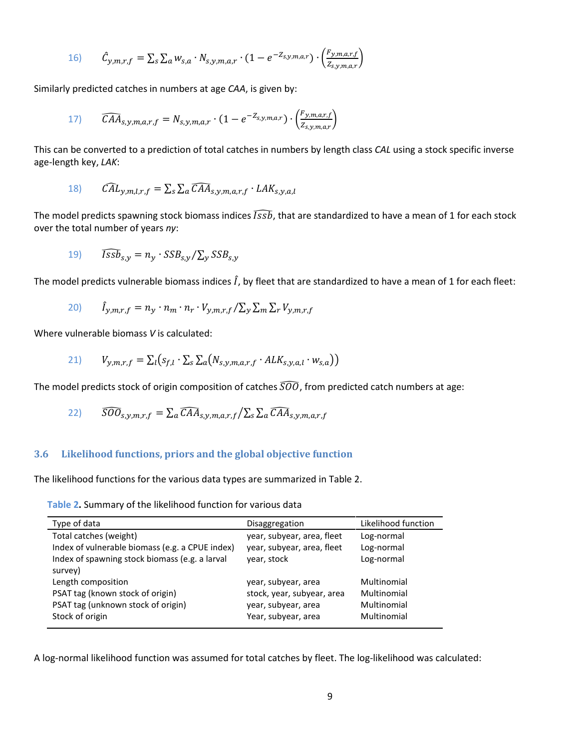16) 
$$
\hat{C}_{y,m,r,f} = \sum_{s} \sum_{a} w_{s,a} \cdot N_{s,y,m,a,r} \cdot (1 - e^{-Z_{s,y,m,a,r}}) \cdot \left(\frac{F_{y,m,a,r,f}}{Z_{s,y,m,a,r}}\right)
$$

Similarly predicted catches in numbers at age CAA, is given by:

17) 
$$
\widehat{CAA}_{s,y,m,a,r,f} = N_{s,y,m,a,r} \cdot (1 - e^{-Z_{s,y,m,a,r}}) \cdot \left(\frac{F_{y,m,a,r,f}}{Z_{s,y,m,a,r}}\right)
$$

This can be converted to a prediction of total catches in numbers by length class CAL using a stock specific inverse age-length key, LAK:

18) 
$$
\widehat{CAL}_{y,m,l,r,f} = \sum_{s} \sum_{a} \widehat{CAA}_{s,y,m,a,r,f} \cdot LAK_{s,y,a,l}
$$

The model predicts spawning stock biomass indices  $\widehat{ISSb}$ , that are standardized to have a mean of 1 for each stock over the total number of years ny:

19) 
$$
\widehat{Issb}_{s,y} = n_y \cdot SSB_{s,y}/\sum_{y} SSB_{s,y}
$$

The model predicts vulnerable biomass indices  $\hat{I}$ , by fleet that are standardized to have a mean of 1 for each fleet:

$$
20) \qquad \hat{I}_{y,m,r,f} = n_y \cdot n_m \cdot n_r \cdot V_{y,m,r,f} / \sum_y \sum_m \sum_r V_{y,m,r,f}
$$

Where vulnerable biomass V is calculated:

$$
V_{y,m,r,f} = \sum_l (s_{f,l} \cdot \sum_s \sum_a (N_{s,y,m,a,r,f} \cdot ALK_{s,y,a,l} \cdot w_{s,a}))
$$

The model predicts stock of origin composition of catches  $\widehat{SOO}$ , from predicted catch numbers at age:

22) 
$$
\widehat{SOO}_{s,y,m,r,f} = \sum_{a} \widehat{CAA}_{s,y,m,a,r,f} / \sum_{s} \sum_{a} \widehat{CAA}_{s,y,m,a,r,f}
$$

#### 3.6 Likelihood functions, priors and the global objective function

The likelihood functions for the various data types are summarized in Table 2.

Table 2. Summary of the likelihood function for various data

| Type of data                                              | Disaggregation             | Likelihood function |
|-----------------------------------------------------------|----------------------------|---------------------|
| Total catches (weight)                                    | year, subyear, area, fleet | Log-normal          |
| Index of vulnerable biomass (e.g. a CPUE index)           | year, subyear, area, fleet | Log-normal          |
| Index of spawning stock biomass (e.g. a larval<br>survey) | year, stock                | Log-normal          |
| Length composition                                        | year, subyear, area        | Multinomial         |
| PSAT tag (known stock of origin)                          | stock, year, subyear, area | Multinomial         |
| PSAT tag (unknown stock of origin)                        | year, subyear, area        | Multinomial         |
| Stock of origin                                           | Year, subyear, area        | Multinomial         |

A log-normal likelihood function was assumed for total catches by fleet. The log-likelihood was calculated: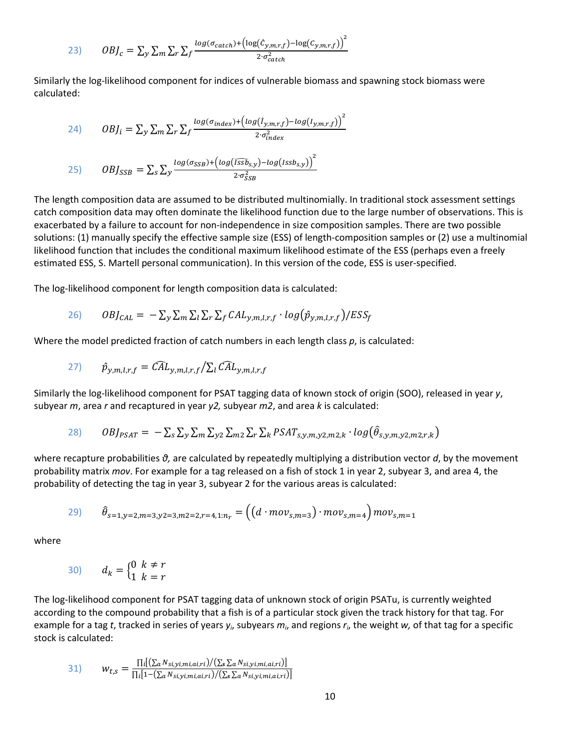23) 
$$
OBJ_c = \sum_{y} \sum_{m} \sum_{r} \sum_{f} \frac{log(\sigma_{catch}) + (log(\hat{c}_{y,m,r,f}) - log(c_{y,m,r,f}))^2}{2 \cdot \sigma_{catch}^2}
$$

Similarly the log-likelihood component for indices of vulnerable biomass and spawning stock biomass were calculated:

$$
(24) \qquad \mathcal{O}BI_i = \sum_{\mathbf{y}} \sum_{m} \sum_{r} \sum_{f} \frac{\log(\sigma_{index}) + (\log(i_{\mathbf{y},m,r,f}) - \log(i_{\mathbf{y},m,r,f}))^2}{2 \cdot \sigma_{index}^2}
$$

$$
(25) \qquad \mathit{OBJ}_{SSB} = \sum_{S} \sum_{\mathbf{y}} \frac{\log(\sigma_{SSB}) + (\log(\widehat{\mathit{Issb}}_{S,\mathbf{y}}) - \log(\mathit{issb}_{S,\mathbf{y}}))}{2 \cdot \sigma_{SSB}^2}
$$

The length composition data are assumed to be distributed multinomially. In traditional stock assessment settings catch composition data may often dominate the likelihood function due to the large number of observations. This is exacerbated by a failure to account for non-independence in size composition samples. There are two possible solutions: (1) manually specify the effective sample size (ESS) of length-composition samples or (2) use a multinomial likelihood function that includes the conditional maximum likelihood estimate of the ESS (perhaps even a freely estimated ESS, S. Martell personal communication). In this version of the code, ESS is user-specified.

The log-likelihood component for length composition data is calculated:

26) 
$$
OBJ_{CAL} = -\sum_{y} \sum_{m} \sum_{l} \sum_{r} \sum_{f} CAL_{y,m,l,r,f} \cdot log(\hat{p}_{y,m,l,r,f})/ESS_{f}
$$

Where the model predicted fraction of catch numbers in each length class  $p$ , is calculated:

27) 
$$
\hat{p}_{y,m,l,r,f} = \widehat{CAL}_{y,m,l,r,f} / \sum_l \widehat{CAL}_{y,m,l,r,f}
$$

Similarly the log-likelihood component for PSAT tagging data of known stock of origin (SOO), released in year y, subyear  $m$ , area r and recaptured in year  $y2$ , subyear  $m2$ , and area k is calculated:

28) 
$$
OBJ_{PSAT} = -\sum_{s}\sum_{y}\sum_{m}\sum_{y2}\sum_{m2}\sum_{r}\sum_{k}PSAT_{s,y,m,y2,m2,k} \cdot log(\hat{\theta}_{s,y,m,y2,m2,r,k})
$$

where recapture probabilities  $\vartheta$ , are calculated by repeatedly multiplying a distribution vector d, by the movement probability matrix mov. For example for a tag released on a fish of stock 1 in year 2, subyear 3, and area 4, the probability of detecting the tag in year 3, subyear 2 for the various areas is calculated:

29) 
$$
\hat{\theta}_{s=1,y=2,m=3,y=2,m=2,z=4,1:n_r} = ((d \cdot mov_{s,m=3}) \cdot mov_{s,m=4}) \cdot mov_{s,m=1}
$$

where

$$
30) \qquad d_k = \begin{cases} 0 & k \neq r \\ 1 & k = r \end{cases}
$$

The log-likelihood component for PSAT tagging data of unknown stock of origin PSATu, is currently weighted according to the compound probability that a fish is of a particular stock given the track history for that tag. For example for a tag t, tracked in series of years  $y_i$ , subyears  $m_i$ , and regions  $r_i$ , the weight w, of that tag for a specific stock is calculated:

31) 
$$
W_{t,s} = \frac{\prod_i [(\sum_a N_{si,yi,mi,ai,ri})/(\sum_s \sum_a N_{si,yi,mi,ai,ri})]}{\prod_i [\mathbf{1} - (\sum_a N_{si,yi,mi,ai,ri})/(\sum_s \sum_a N_{si,yi,mi,ai,ri})]}
$$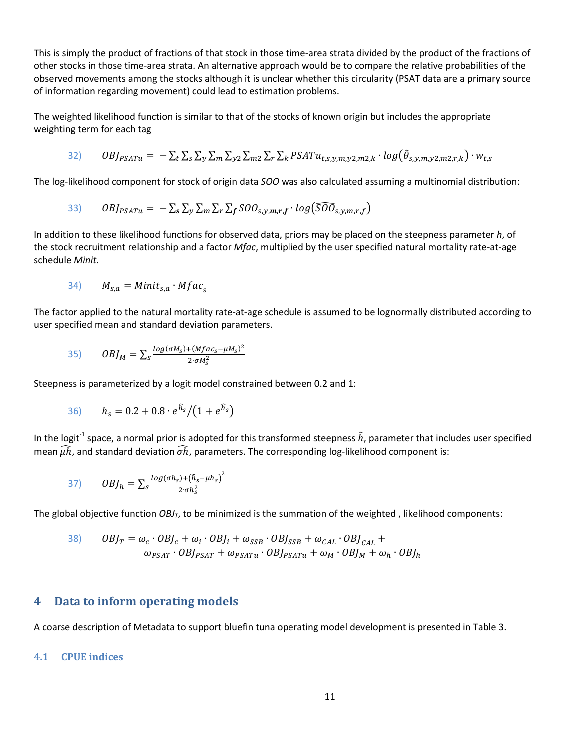This is simply the product of fractions of that stock in those time-area strata divided by the product of the fractions of other stocks in those time-area strata. An alternative approach would be to compare the relative probabilities of the observed movements among the stocks although it is unclear whether this circularity (PSAT data are a primary source of information regarding movement) could lead to estimation problems.

The weighted likelihood function is similar to that of the stocks of known origin but includes the appropriate weighting term for each tag

32) 
$$
OBJ_{PSATu} = -\sum_{t}\sum_{s}\sum_{y}\sum_{m}\sum_{y2}\sum_{m2}\sum_{r}\sum_{k}PSATu_{t,s,y,m,y2,m2,k} \cdot log(\hat{\theta}_{s,y,m,y2,m2,r,k}) \cdot w_{t,s}
$$

The log-likelihood component for stock of origin data SOO was also calculated assuming a multinomial distribution:

33) 
$$
OBJ_{PSATu} = -\sum_{s}\sum_{y}\sum_{m}\sum_{r}\sum_{f}SOO_{s,y,m,r,f} \cdot log(\widehat{SOO}_{s,y,m,r,f})
$$

In addition to these likelihood functions for observed data, priors may be placed on the steepness parameter  $h$ , of the stock recruitment relationship and a factor Mfac, multiplied by the user specified natural mortality rate-at-age schedule Minit.

$$
34) \qquad M_{s,a} = Minit_{s,a} \cdot Mfac_s
$$

The factor applied to the natural mortality rate-at-age schedule is assumed to be lognormally distributed according to user specified mean and standard deviation parameters.

$$
35) \qquad OBJ_M = \sum_{s} \frac{\log(\sigma M_s) + (Mfac_s - \mu M_s)^2}{2 \cdot \sigma M_s^2}
$$

Steepness is parameterized by a logit model constrained between 0.2 and 1:

36) 
$$
h_s = 0.2 + 0.8 \cdot e^{\hat{h}_s} / (1 + e^{\hat{h}_s})
$$

In the logit<sup>-1</sup> space, a normal prior is adopted for this transformed steepness  $\hat{h}$ , parameter that includes user specified mean  $\widehat{\mu h}$ , and standard deviation  $\widehat{\sigma h}$ , parameters. The corresponding log-likelihood component is:

$$
37) \qquad OBI_h = \sum_{s} \frac{\log(\sigma h_s) + (\hat{h}_s - \mu h_s)^2}{2 \cdot \sigma h_s^2}
$$

The global objective function  $O_1$ , to be minimized is the summation of the weighted, likelihood components:

38) 
$$
OBJ_T = \omega_c \cdot OBJ_c + \omega_i \cdot OBJ_i + \omega_{SSB} \cdot OBJ_{SSB} + \omega_{CAL} \cdot OBJ_{CAL} +
$$

$$
\omega_{PSAT} \cdot OBJ_{PSAT} + \omega_{PSATu} \cdot OBJ_{PSATu} + \omega_M \cdot OBJ_M + \omega_h \cdot OBJ_h
$$

## 4 Data to inform operating models

A coarse description of Metadata to support bluefin tuna operating model development is presented in Table 3.

#### 4.1 CPUE indices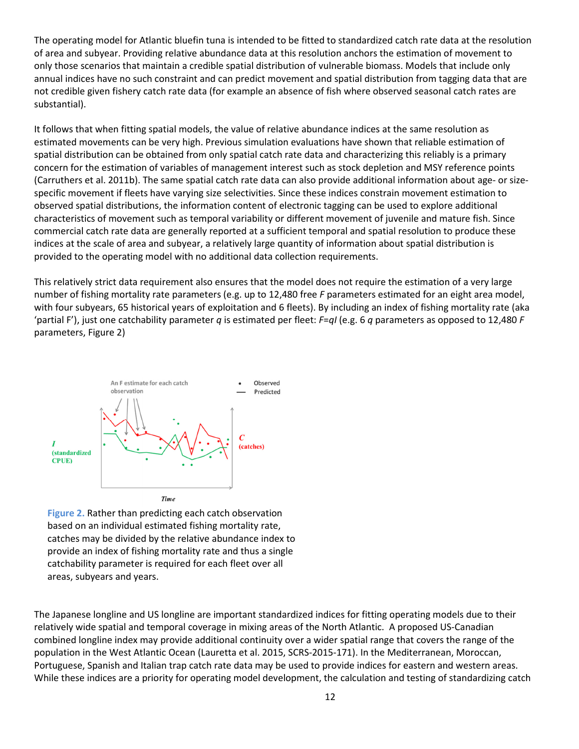The operating model for Atlantic bluefin tuna is intended to be fitted to standardized catch rate data at the resolution of area and subyear. Providing relative abundance data at this resolution anchors the estimation of movement to only those scenarios that maintain a credible spatial distribution of vulnerable biomass. Models that include only annual indices have no such constraint and can predict movement and spatial distribution from tagging data that are not credible given fishery catch rate data (for example an absence of fish where observed seasonal catch rates are substantial).

It follows that when fitting spatial models, the value of relative abundance indices at the same resolution as estimated movements can be very high. Previous simulation evaluations have shown that reliable estimation of spatial distribution can be obtained from only spatial catch rate data and characterizing this reliably is a primary concern for the estimation of variables of management interest such as stock depletion and MSY reference points (Carruthers et al. 2011b). The same spatial catch rate data can also provide additional information about age- or sizespecific movement if fleets have varying size selectivities. Since these indices constrain movement estimation to observed spatial distributions, the information content of electronic tagging can be used to explore additional characteristics of movement such as temporal variability or different movement of juvenile and mature fish. Since commercial catch rate data are generally reported at a sufficient temporal and spatial resolution to produce these indices at the scale of area and subyear, a relatively large quantity of information about spatial distribution is provided to the operating model with no additional data collection requirements.

This relatively strict data requirement also ensures that the model does not require the estimation of a very large number of fishing mortality rate parameters (e.g. up to 12,480 free F parameters estimated for an eight area model, with four subyears, 65 historical years of exploitation and 6 fleets). By including an index of fishing mortality rate (aka 'partial F'), just one catchability parameter q is estimated per fleet: F=qI (e.g. 6 q parameters as opposed to 12,480 F parameters, Figure 2)



Figure 2. Rather than predicting each catch observation based on an individual estimated fishing mortality rate, catches may be divided by the relative abundance index to provide an index of fishing mortality rate and thus a single catchability parameter is required for each fleet over all areas, subyears and years.

The Japanese longline and US longline are important standardized indices for fitting operating models due to their relatively wide spatial and temporal coverage in mixing areas of the North Atlantic. A proposed US-Canadian combined longline index may provide additional continuity over a wider spatial range that covers the range of the population in the West Atlantic Ocean (Lauretta et al. 2015, SCRS-2015-171). In the Mediterranean, Moroccan, Portuguese, Spanish and Italian trap catch rate data may be used to provide indices for eastern and western areas. While these indices are a priority for operating model development, the calculation and testing of standardizing catch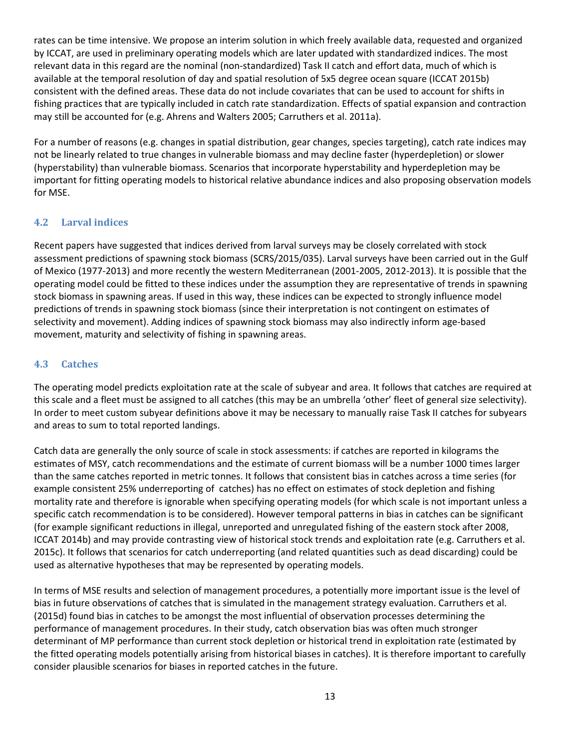rates can be time intensive. We propose an interim solution in which freely available data, requested and organized by ICCAT, are used in preliminary operating models which are later updated with standardized indices. The most relevant data in this regard are the nominal (non-standardized) Task II catch and effort data, much of which is available at the temporal resolution of day and spatial resolution of 5x5 degree ocean square (ICCAT 2015b) consistent with the defined areas. These data do not include covariates that can be used to account for shifts in fishing practices that are typically included in catch rate standardization. Effects of spatial expansion and contraction may still be accounted for (e.g. Ahrens and Walters 2005; Carruthers et al. 2011a).

For a number of reasons (e.g. changes in spatial distribution, gear changes, species targeting), catch rate indices may not be linearly related to true changes in vulnerable biomass and may decline faster (hyperdepletion) or slower (hyperstability) than vulnerable biomass. Scenarios that incorporate hyperstability and hyperdepletion may be important for fitting operating models to historical relative abundance indices and also proposing observation models for MSE.

#### 4.2 Larval indices

Recent papers have suggested that indices derived from larval surveys may be closely correlated with stock assessment predictions of spawning stock biomass (SCRS/2015/035). Larval surveys have been carried out in the Gulf of Mexico (1977-2013) and more recently the western Mediterranean (2001-2005, 2012-2013). It is possible that the operating model could be fitted to these indices under the assumption they are representative of trends in spawning stock biomass in spawning areas. If used in this way, these indices can be expected to strongly influence model predictions of trends in spawning stock biomass (since their interpretation is not contingent on estimates of selectivity and movement). Adding indices of spawning stock biomass may also indirectly inform age-based movement, maturity and selectivity of fishing in spawning areas.

#### 4.3 Catches

The operating model predicts exploitation rate at the scale of subyear and area. It follows that catches are required at this scale and a fleet must be assigned to all catches (this may be an umbrella 'other' fleet of general size selectivity). In order to meet custom subyear definitions above it may be necessary to manually raise Task II catches for subyears and areas to sum to total reported landings.

Catch data are generally the only source of scale in stock assessments: if catches are reported in kilograms the estimates of MSY, catch recommendations and the estimate of current biomass will be a number 1000 times larger than the same catches reported in metric tonnes. It follows that consistent bias in catches across a time series (for example consistent 25% underreporting of catches) has no effect on estimates of stock depletion and fishing mortality rate and therefore is ignorable when specifying operating models (for which scale is not important unless a specific catch recommendation is to be considered). However temporal patterns in bias in catches can be significant (for example significant reductions in illegal, unreported and unregulated fishing of the eastern stock after 2008, ICCAT 2014b) and may provide contrasting view of historical stock trends and exploitation rate (e.g. Carruthers et al. 2015c). It follows that scenarios for catch underreporting (and related quantities such as dead discarding) could be used as alternative hypotheses that may be represented by operating models.

In terms of MSE results and selection of management procedures, a potentially more important issue is the level of bias in future observations of catches that is simulated in the management strategy evaluation. Carruthers et al. (2015d) found bias in catches to be amongst the most influential of observation processes determining the performance of management procedures. In their study, catch observation bias was often much stronger determinant of MP performance than current stock depletion or historical trend in exploitation rate (estimated by the fitted operating models potentially arising from historical biases in catches). It is therefore important to carefully consider plausible scenarios for biases in reported catches in the future.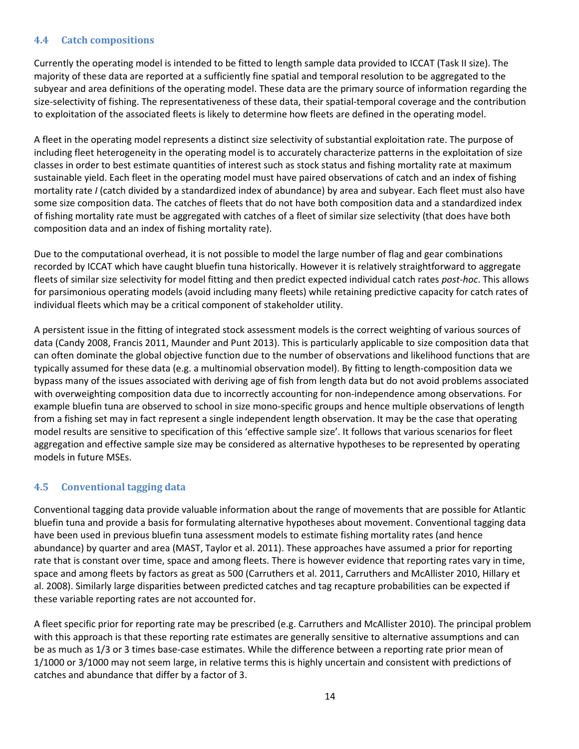#### 4.4 Catch compositions

Currently the operating model is intended to be fitted to length sample data provided to ICCAT (Task II size). The majority of these data are reported at a sufficiently fine spatial and temporal resolution to be aggregated to the subyear and area definitions of the operating model. These data are the primary source of information regarding the size-selectivity of fishing. The representativeness of these data, their spatial-temporal coverage and the contribution to exploitation of the associated fleets is likely to determine how fleets are defined in the operating model.

A fleet in the operating model represents a distinct size selectivity of substantial exploitation rate. The purpose of including fleet heterogeneity in the operating model is to accurately characterize patterns in the exploitation of size classes in order to best estimate quantities of interest such as stock status and fishing mortality rate at maximum sustainable yield. Each fleet in the operating model must have paired observations of catch and an index of fishing mortality rate I (catch divided by a standardized index of abundance) by area and subyear. Each fleet must also have some size composition data. The catches of fleets that do not have both composition data and a standardized index of fishing mortality rate must be aggregated with catches of a fleet of similar size selectivity (that does have both composition data and an index of fishing mortality rate).

Due to the computational overhead, it is not possible to model the large number of flag and gear combinations recorded by ICCAT which have caught bluefin tuna historically. However it is relatively straightforward to aggregate fleets of similar size selectivity for model fitting and then predict expected individual catch rates post-hoc. This allows for parsimonious operating models (avoid including many fleets) while retaining predictive capacity for catch rates of individual fleets which may be a critical component of stakeholder utility.

A persistent issue in the fitting of integrated stock assessment models is the correct weighting of various sources of data (Candy 2008, Francis 2011, Maunder and Punt 2013). This is particularly applicable to size composition data that can often dominate the global objective function due to the number of observations and likelihood functions that are typically assumed for these data (e.g. a multinomial observation model). By fitting to length-composition data we bypass many of the issues associated with deriving age of fish from length data but do not avoid problems associated with overweighting composition data due to incorrectly accounting for non-independence among observations. For example bluefin tuna are observed to school in size mono-specific groups and hence multiple observations of length from a fishing set may in fact represent a single independent length observation. It may be the case that operating model results are sensitive to specification of this 'effective sample size'. It follows that various scenarios for fleet aggregation and effective sample size may be considered as alternative hypotheses to be represented by operating models in future MSEs.

#### 4.5 Conventional tagging data

Conventional tagging data provide valuable information about the range of movements that are possible for Atlantic bluefin tuna and provide a basis for formulating alternative hypotheses about movement. Conventional tagging data have been used in previous bluefin tuna assessment models to estimate fishing mortality rates (and hence abundance) by quarter and area (MAST, Taylor et al. 2011). These approaches have assumed a prior for reporting rate that is constant over time, space and among fleets. There is however evidence that reporting rates vary in time, space and among fleets by factors as great as 500 (Carruthers et al. 2011, Carruthers and McAllister 2010, Hillary et al. 2008). Similarly large disparities between predicted catches and tag recapture probabilities can be expected if these variable reporting rates are not accounted for.

A fleet specific prior for reporting rate may be prescribed (e.g. Carruthers and McAllister 2010). The principal problem with this approach is that these reporting rate estimates are generally sensitive to alternative assumptions and can be as much as 1/3 or 3 times base-case estimates. While the difference between a reporting rate prior mean of 1/1000 or 3/1000 may not seem large, in relative terms this is highly uncertain and consistent with predictions of catches and abundance that differ by a factor of 3.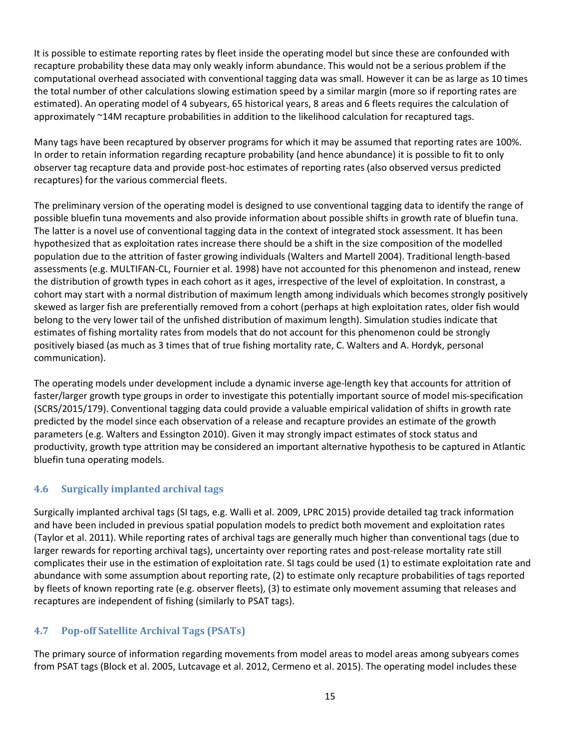It is possible to estimate reporting rates by fleet inside the operating model but since these are confounded with recapture probability these data may only weakly inform abundance. This would not be a serious problem if the computational overhead associated with conventional tagging data was small. However it can be as large as 10 times the total number of other calculations slowing estimation speed by a similar margin (more so if reporting rates are estimated). An operating model of 4 subyears, 65 historical years, 8 areas and 6 fleets requires the calculation of approximately ~14M recapture probabilities in addition to the likelihood calculation for recaptured tags.

Many tags have been recaptured by observer programs for which it may be assumed that reporting rates are 100%. In order to retain information regarding recapture probability (and hence abundance) it is possible to fit to only observer tag recapture data and provide post-hoc estimates of reporting rates (also observed versus predicted recaptures) for the various commercial fleets.

The preliminary version of the operating model is designed to use conventional tagging data to identify the range of possible bluefin tuna movements and also provide information about possible shifts in growth rate of bluefin tuna. The latter is a novel use of conventional tagging data in the context of integrated stock assessment. It has been hypothesized that as exploitation rates increase there should be a shift in the size composition of the modelled population due to the attrition of faster growing individuals (Walters and Martell 2004). Traditional length-based assessments (e.g. MULTIFAN-CL, Fournier et al. 1998) have not accounted for this phenomenon and instead, renew the distribution of growth types in each cohort as it ages, irrespective of the level of exploitation. In constrast, a cohort may start with a normal distribution of maximum length among individuals which becomes strongly positively skewed as larger fish are preferentially removed from a cohort (perhaps at high exploitation rates, older fish would belong to the very lower tail of the unfished distribution of maximum length). Simulation studies indicate that estimates of fishing mortality rates from models that do not account for this phenomenon could be strongly positively biased (as much as 3 times that of true fishing mortality rate, C. Walters and A. Hordyk, personal communication).

The operating models under development include a dynamic inverse age-length key that accounts for attrition of faster/larger growth type groups in order to investigate this potentially important source of model mis-specification (SCRS/2015/179). Conventional tagging data could provide a valuable empirical validation of shifts in growth rate predicted by the model since each observation of a release and recapture provides an estimate of the growth parameters (e.g. Walters and Essington 2010). Given it may strongly impact estimates of stock status and productivity, growth type attrition may be considered an important alternative hypothesis to be captured in Atlantic bluefin tuna operating models.

#### 4.6 Surgically implanted archival tags

Surgically implanted archival tags (SI tags, e.g. Walli et al. 2009, LPRC 2015) provide detailed tag track information and have been included in previous spatial population models to predict both movement and exploitation rates (Taylor et al. 2011). While reporting rates of archival tags are generally much higher than conventional tags (due to larger rewards for reporting archival tags), uncertainty over reporting rates and post-release mortality rate still complicates their use in the estimation of exploitation rate. SI tags could be used (1) to estimate exploitation rate and abundance with some assumption about reporting rate, (2) to estimate only recapture probabilities of tags reported by fleets of known reporting rate (e.g. observer fleets), (3) to estimate only movement assuming that releases and recaptures are independent of fishing (similarly to PSAT tags).

#### 4.7 Pop-off Satellite Archival Tags (PSATs)

The primary source of information regarding movements from model areas to model areas among subyears comes from PSAT tags (Block et al. 2005, Lutcavage et al. 2012, Cermeno et al. 2015). The operating model includes these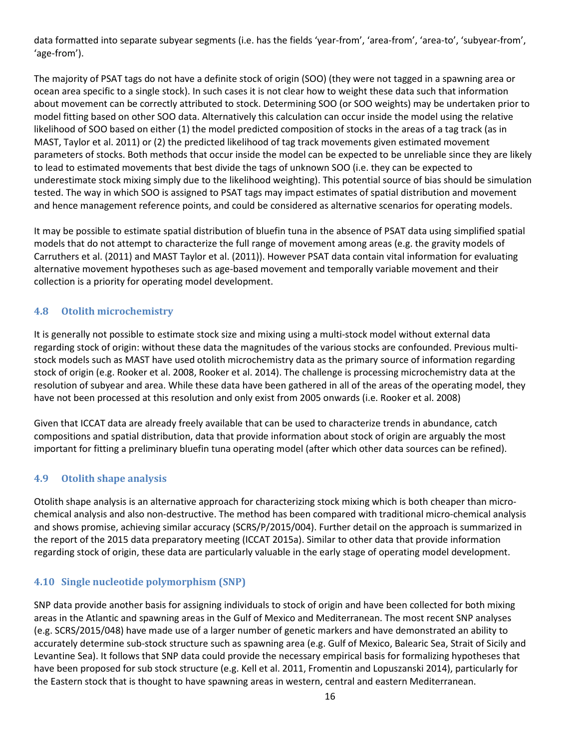data formatted into separate subyear segments (i.e. has the fields 'year-from', 'area-from', 'area-to', 'subyear-from', 'age-from').

The majority of PSAT tags do not have a definite stock of origin (SOO) (they were not tagged in a spawning area or ocean area specific to a single stock). In such cases it is not clear how to weight these data such that information about movement can be correctly attributed to stock. Determining SOO (or SOO weights) may be undertaken prior to model fitting based on other SOO data. Alternatively this calculation can occur inside the model using the relative likelihood of SOO based on either (1) the model predicted composition of stocks in the areas of a tag track (as in MAST, Taylor et al. 2011) or (2) the predicted likelihood of tag track movements given estimated movement parameters of stocks. Both methods that occur inside the model can be expected to be unreliable since they are likely to lead to estimated movements that best divide the tags of unknown SOO (i.e. they can be expected to underestimate stock mixing simply due to the likelihood weighting). This potential source of bias should be simulation tested. The way in which SOO is assigned to PSAT tags may impact estimates of spatial distribution and movement and hence management reference points, and could be considered as alternative scenarios for operating models.

It may be possible to estimate spatial distribution of bluefin tuna in the absence of PSAT data using simplified spatial models that do not attempt to characterize the full range of movement among areas (e.g. the gravity models of Carruthers et al. (2011) and MAST Taylor et al. (2011)). However PSAT data contain vital information for evaluating alternative movement hypotheses such as age-based movement and temporally variable movement and their collection is a priority for operating model development.

## 4.8 Otolith microchemistry

It is generally not possible to estimate stock size and mixing using a multi-stock model without external data regarding stock of origin: without these data the magnitudes of the various stocks are confounded. Previous multistock models such as MAST have used otolith microchemistry data as the primary source of information regarding stock of origin (e.g. Rooker et al. 2008, Rooker et al. 2014). The challenge is processing microchemistry data at the resolution of subyear and area. While these data have been gathered in all of the areas of the operating model, they have not been processed at this resolution and only exist from 2005 onwards (i.e. Rooker et al. 2008)

Given that ICCAT data are already freely available that can be used to characterize trends in abundance, catch compositions and spatial distribution, data that provide information about stock of origin are arguably the most important for fitting a preliminary bluefin tuna operating model (after which other data sources can be refined).

#### 4.9 Otolith shape analysis

Otolith shape analysis is an alternative approach for characterizing stock mixing which is both cheaper than microchemical analysis and also non-destructive. The method has been compared with traditional micro-chemical analysis and shows promise, achieving similar accuracy (SCRS/P/2015/004). Further detail on the approach is summarized in the report of the 2015 data preparatory meeting (ICCAT 2015a). Similar to other data that provide information regarding stock of origin, these data are particularly valuable in the early stage of operating model development.

#### 4.10 Single nucleotide polymorphism (SNP)

SNP data provide another basis for assigning individuals to stock of origin and have been collected for both mixing areas in the Atlantic and spawning areas in the Gulf of Mexico and Mediterranean. The most recent SNP analyses (e.g. SCRS/2015/048) have made use of a larger number of genetic markers and have demonstrated an ability to accurately determine sub-stock structure such as spawning area (e.g. Gulf of Mexico, Balearic Sea, Strait of Sicily and Levantine Sea). It follows that SNP data could provide the necessary empirical basis for formalizing hypotheses that have been proposed for sub stock structure (e.g. Kell et al. 2011, Fromentin and Lopuszanski 2014), particularly for the Eastern stock that is thought to have spawning areas in western, central and eastern Mediterranean.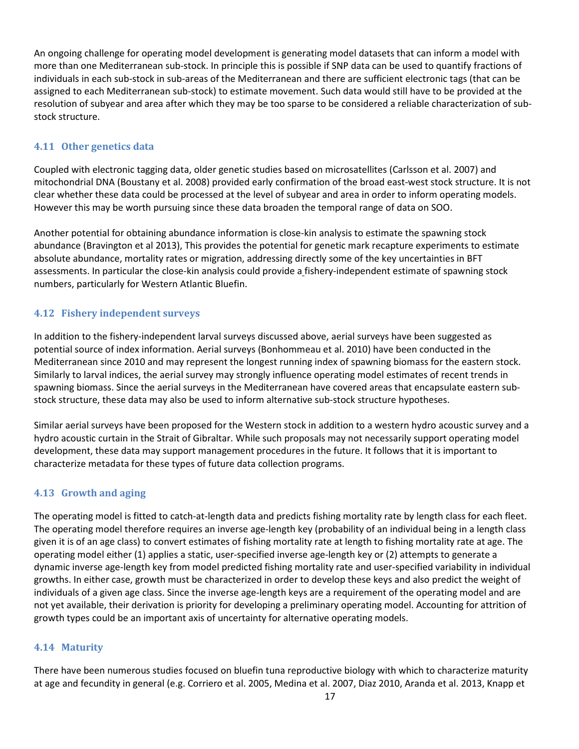An ongoing challenge for operating model development is generating model datasets that can inform a model with more than one Mediterranean sub-stock. In principle this is possible if SNP data can be used to quantify fractions of individuals in each sub-stock in sub-areas of the Mediterranean and there are sufficient electronic tags (that can be assigned to each Mediterranean sub-stock) to estimate movement. Such data would still have to be provided at the resolution of subyear and area after which they may be too sparse to be considered a reliable characterization of substock structure.

#### 4.11 Other genetics data

Coupled with electronic tagging data, older genetic studies based on microsatellites (Carlsson et al. 2007) and mitochondrial DNA (Boustany et al. 2008) provided early confirmation of the broad east-west stock structure. It is not clear whether these data could be processed at the level of subyear and area in order to inform operating models. However this may be worth pursuing since these data broaden the temporal range of data on SOO.

Another potential for obtaining abundance information is close-kin analysis to estimate the spawning stock abundance (Bravington et al 2013), This provides the potential for genetic mark recapture experiments to estimate absolute abundance, mortality rates or migration, addressing directly some of the key uncertainties in BFT assessments. In particular the close-kin analysis could provide a fishery-independent estimate of spawning stock numbers, particularly for Western Atlantic Bluefin.

#### 4.12 Fishery independent surveys

In addition to the fishery-independent larval surveys discussed above, aerial surveys have been suggested as potential source of index information. Aerial surveys (Bonhommeau et al. 2010) have been conducted in the Mediterranean since 2010 and may represent the longest running index of spawning biomass for the eastern stock. Similarly to larval indices, the aerial survey may strongly influence operating model estimates of recent trends in spawning biomass. Since the aerial surveys in the Mediterranean have covered areas that encapsulate eastern substock structure, these data may also be used to inform alternative sub-stock structure hypotheses.

Similar aerial surveys have been proposed for the Western stock in addition to a western hydro acoustic survey and a hydro acoustic curtain in the Strait of Gibraltar. While such proposals may not necessarily support operating model development, these data may support management procedures in the future. It follows that it is important to characterize metadata for these types of future data collection programs.

#### 4.13 Growth and aging

The operating model is fitted to catch-at-length data and predicts fishing mortality rate by length class for each fleet. The operating model therefore requires an inverse age-length key (probability of an individual being in a length class given it is of an age class) to convert estimates of fishing mortality rate at length to fishing mortality rate at age. The operating model either (1) applies a static, user-specified inverse age-length key or (2) attempts to generate a dynamic inverse age-length key from model predicted fishing mortality rate and user-specified variability in individual growths. In either case, growth must be characterized in order to develop these keys and also predict the weight of individuals of a given age class. Since the inverse age-length keys are a requirement of the operating model and are not yet available, their derivation is priority for developing a preliminary operating model. Accounting for attrition of growth types could be an important axis of uncertainty for alternative operating models.

#### 4.14 Maturity

There have been numerous studies focused on bluefin tuna reproductive biology with which to characterize maturity at age and fecundity in general (e.g. Corriero et al. 2005, Medina et al. 2007, Diaz 2010, Aranda et al. 2013, Knapp et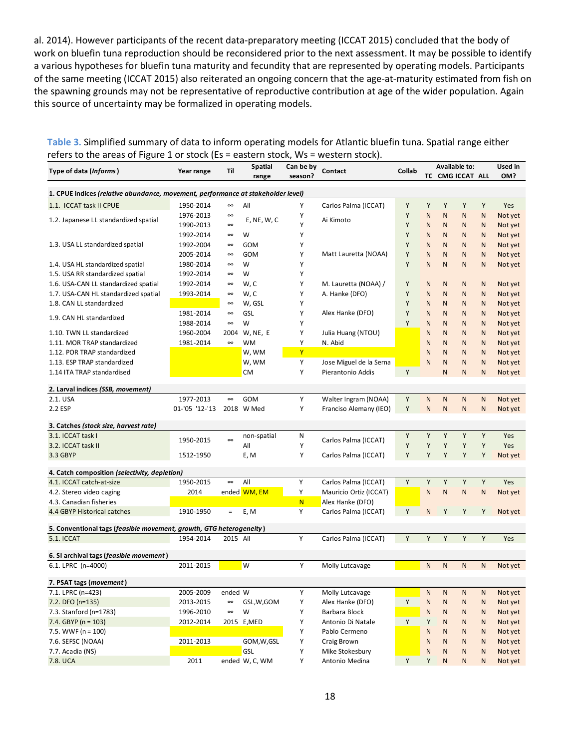al. 2014). However participants of the recent data-preparatory meeting (ICCAT 2015) concluded that the body of work on bluefin tuna reproduction should be reconsidered prior to the next assessment. It may be possible to identify a various hypotheses for bluefin tuna maturity and fecundity that are represented by operating models. Participants of the same meeting (ICCAT 2015) also reiterated an ongoing concern that the age-at-maturity estimated from fish on the spawning grounds may not be representative of reproductive contribution at age of the wider population. Again this source of uncertainty may be formalized in operating models.

| Table 3. Simplified summary of data to inform operating models for Atlantic bluefin tuna. Spatial range either |  |
|----------------------------------------------------------------------------------------------------------------|--|
| refers to the areas of Figure 1 or stock (Es = eastern stock, Ws = western stock).                             |  |

| Type of data (Informs)                                                           |                | Til       | <b>Spatial</b> | Can be by<br>Contact<br>season? |                         | Collab | Available to: |                         |              |              | Used in |
|----------------------------------------------------------------------------------|----------------|-----------|----------------|---------------------------------|-------------------------|--------|---------------|-------------------------|--------------|--------------|---------|
|                                                                                  | Year range     |           | range          |                                 |                         |        |               | TC CMG ICCAT ALL        |              |              | OM?     |
| 1. CPUE indices (relative abundance, movement, performance at stakeholder level) |                |           |                |                                 |                         |        |               |                         |              |              |         |
| 1.1. ICCAT task II CPUE                                                          | 1950-2014      | $\infty$  | All            | Υ                               | Carlos Palma (ICCAT)    | Y      | Y             | Y                       | Y            | Y            | Yes     |
|                                                                                  | 1976-2013      | $\infty$  |                | Υ                               |                         | Y      | N             | N                       | N            | N            | Not yet |
| 1.2. Japanese LL standardized spatial                                            | 1990-2013      | $\infty$  | E, NE, W, C    | Υ                               | Ai Kimoto               | Y      | N             | N                       | N            | N            | Not yet |
|                                                                                  | 1992-2014      | $\infty$  | W              | Υ                               |                         | Y      | N             | N                       | N            | N            | Not yet |
| 1.3. USA LL standardized spatial                                                 | 1992-2004      | $\infty$  | <b>GOM</b>     | Υ                               |                         | Υ      | N             | N                       | N            | N            | Not yet |
|                                                                                  | 2005-2014      | $\infty$  | <b>GOM</b>     | Υ                               | Matt Lauretta (NOAA)    | Υ      | N             | N                       | N            | N            | Not yet |
| 1.4. USA HL standardized spatial                                                 | 1980-2014      | $\infty$  | W              | Υ                               |                         | Υ      | N             | N                       | N            | N            | Not yet |
| 1.5. USA RR standardized spatial                                                 | 1992-2014      | $\infty$  | W              | Υ                               |                         |        |               |                         |              |              |         |
| 1.6. USA-CAN LL standardized spatial                                             | 1992-2014      | $\infty$  | W, C           | Υ                               | M. Lauretta (NOAA) /    | Υ      | N             | N                       | N            | N            | Not yet |
| 1.7. USA-CAN HL standardized spatial                                             | 1993-2014      | $\infty$  | W, C           | Y                               | A. Hanke (DFO)          | Υ      | N             | N                       | N            | N            | Not yet |
| 1.8. CAN LL standardized                                                         |                | $\infty$  | W, GSL         | Υ                               |                         | Υ      | N             | N                       | N            | N            | Not yet |
|                                                                                  | 1981-2014      | $\infty$  | GSL            | Y                               | Alex Hanke (DFO)        | Y      | N             | N                       | N            | N            | Not yet |
| 1.9. CAN HL standardized                                                         | 1988-2014      | $\infty$  | W              | Y                               |                         | Υ      | N             | N                       | N            | N            | Not yet |
| 1.10. TWN LL standardized                                                        | 1960-2004      | 2004      | W, NE, E       | Y                               | Julia Huang (NTOU)      |        | N             | N                       | N            | N            | Not yet |
| 1.11. MOR TRAP standardized                                                      | 1981-2014      | $\infty$  | <b>WM</b>      | Y                               | N. Abid                 |        | N             | N                       | N            | N            | Not yet |
| 1.12. POR TRAP standardized                                                      |                |           | W, WM          | Y                               |                         |        | N             | N                       | N            | N            | Not yet |
| 1.13. ESP TRAP standardized                                                      |                |           | W, WM          | Υ                               | Jose Miguel de la Serna |        | N             | N                       | N            | N            | Not yet |
| 1.14 ITA TRAP standardised                                                       |                |           | CM             | Υ                               | Pierantonio Addis       | Υ      |               | N                       | $\mathsf{N}$ | N            | Not yet |
|                                                                                  |                |           |                |                                 |                         |        |               |                         |              |              |         |
| 2. Larval indices (SSB, movement)                                                |                |           |                |                                 |                         |        |               |                         |              |              |         |
| 2.1. USA                                                                         | 1977-2013      | $\infty$  | GOM            | Υ                               | Walter Ingram (NOAA)    | Υ      | N             | N                       | N            | N            | Not yet |
| 2.2 ESP                                                                          | 01-'05 '12-'13 |           | 2018 W Med     | Υ                               | Franciso Alemany (IEO)  | Υ      | N             | $\overline{\mathsf{N}}$ | ${\sf N}$    | $\mathsf{N}$ | Not yet |
| 3. Catches (stock size, harvest rate)                                            |                |           |                |                                 |                         |        |               |                         |              |              |         |
| 3.1. ICCAT task I                                                                | 1950-2015      | $\infty$  | non-spatial    | N                               | Carlos Palma (ICCAT)    | Υ      | Y             | Υ                       | Υ            | Υ            | Yes     |
| 3.2. ICCAT task II                                                               |                |           | All            | Υ                               |                         | Υ      | Υ             | Y                       | Y            | Y            | Yes     |
| 3.3 GBYP                                                                         | 1512-1950      |           | E, M           | Y                               | Carlos Palma (ICCAT)    | Υ      | Y             | Y                       | Y            | Y            | Not yet |
| 4. Catch composition (selectivity, depletion)                                    |                |           |                |                                 |                         |        |               |                         |              |              |         |
| 4.1. ICCAT catch-at-size                                                         | 1950-2015      | $\infty$  | All            | Υ                               | Carlos Palma (ICCAT)    | Y      | Y             | Y                       | Y            | Y            | Yes     |
| 4.2. Stereo video caging                                                         | 2014           |           | ended WM, EM   | Υ                               | Mauricio Ortiz (ICCAT)  |        | N             | N                       | N            | N            | Not yet |
| 4.3. Canadian fisheries                                                          |                |           |                | N                               | Alex Hanke (DFO)        |        |               |                         |              |              |         |
| 4.4 GBYP Historical catches                                                      | 1910-1950      | $\quad =$ | E, M           | Y                               | Carlos Palma (ICCAT)    | Υ      | N             | Y                       | Y            | Y            | Not yet |
|                                                                                  |                |           |                |                                 |                         |        |               |                         |              |              |         |
| 5. Conventional tags (feasible movement, growth, GTG heterogeneity)              |                |           |                |                                 |                         |        |               |                         |              |              |         |
| <b>5.1. ICCAT</b>                                                                | 1954-2014      | 2015 All  |                | Υ                               | Carlos Palma (ICCAT)    | Υ      | Y             | Y                       | Y            | Y            | Yes     |
| 6. SI archival tags (feasible movement)                                          |                |           |                |                                 |                         |        |               |                         |              |              |         |
| 6.1. LPRC (n=4000)                                                               | 2011-2015      |           | W              | Υ                               | Molly Lutcavage         |        | N             | N                       | $\mathsf{N}$ | N            | Not yet |
| 7. PSAT tags (movement)                                                          |                |           |                |                                 |                         |        |               |                         |              |              |         |
| 7.1. LPRC (n=423)                                                                | 2005-2009      | ended W   |                | Υ                               | Molly Lutcavage         |        | N             | N                       | N            | N            | Not yet |
| 7.2. DFO (n=135)                                                                 | 2013-2015      | $\infty$  | GSL,W,GOM      | Υ                               | Alex Hanke (DFO)        | Y      |               |                         |              |              | Not yet |
|                                                                                  |                |           |                |                                 |                         |        | N             | N                       | N            | N            |         |
| 7.3. Stanford (n=1783)                                                           | 1996-2010      | $\infty$  | W              | Υ                               | Barbara Block           |        | ${\sf N}$     | N                       | N            | ${\sf N}$    | Not yet |
| 7.4. GBYP ( $n = 103$ )                                                          | 2012-2014      |           | 2015 E, MED    | Υ                               | Antonio Di Natale       | Y      | Υ             | N                       | N            | N            | Not yet |
| 7.5. WWF ( $n = 100$ )                                                           |                |           |                | Υ                               | Pablo Cermeno           |        | N             | N                       | N            | ${\sf N}$    | Not yet |
| 7.6. SEFSC (NOAA)                                                                | 2011-2013      |           | GOM, W, GSL    | Y                               | Craig Brown             |        | ${\sf N}$     | N                       | N            | N            | Not yet |
| 7.7. Acadia (NS)                                                                 |                |           | <b>GSL</b>     | Υ                               | Mike Stokesbury         |        | N             | N                       | N            | N            | Not yet |
| 7.8. UCA                                                                         | 2011           |           | ended W, C, WM | Y                               | Antonio Medina          | Υ      | Υ             | N                       | N            | N            | Not yet |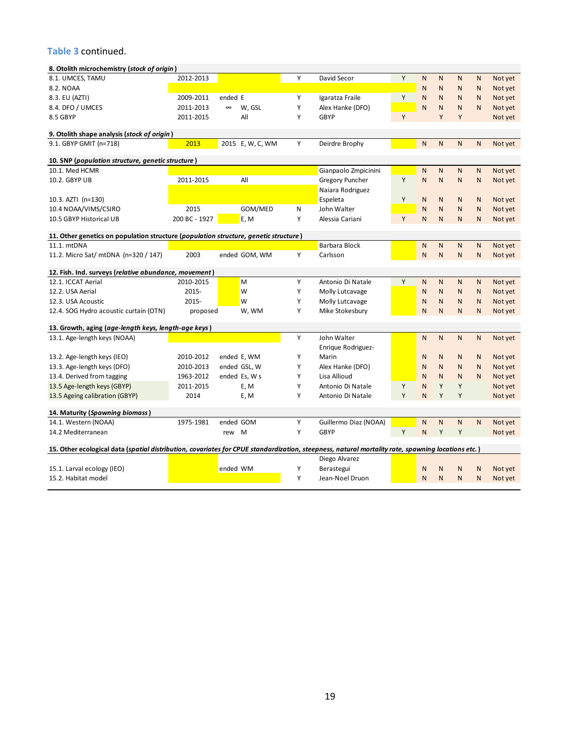#### Table 3 continued.

| 8. Otolith microchemistry (stock of origin)                                                                                                       |               |           |                  |   |                        |   |                   |              |              |                   |         |
|---------------------------------------------------------------------------------------------------------------------------------------------------|---------------|-----------|------------------|---|------------------------|---|-------------------|--------------|--------------|-------------------|---------|
| 8.1. UMCES, TAMU                                                                                                                                  | 2012-2013     |           |                  | Y | David Secor            | Y | $\mathsf{N}$      | N            | N.           | N                 | Not yet |
| 8.2. NOAA                                                                                                                                         |               |           |                  |   |                        |   | N                 | N            | N            | N                 | Not yet |
| 8.3. EU (AZTI)                                                                                                                                    | 2009-2011     | ended E   |                  | Y | Igaratza Fraile        | Υ | N                 | N            | N            | N                 | Not yet |
| 8.4. DFO / UMCES                                                                                                                                  | 2011-2013     | $\infty$  | W, GSL           | Υ | Alex Hanke (DFO)       |   | N                 | N            | N            | N                 | Not yet |
| 8.5 GBYP                                                                                                                                          | 2011-2015     |           | All              | Y | <b>GBYP</b>            | Y |                   | Y            | Y            |                   | Not yet |
| 9. Otolith shape analysis (stock of origin)                                                                                                       |               |           |                  |   |                        |   |                   |              |              |                   |         |
| 9.1. GBYP GMIT (n=718)                                                                                                                            | 2013          |           | 2015 E, W, C, WM | Y | Deirdre Brophy         |   | $\mathsf{N}$      | N            | N            | N                 | Not yet |
|                                                                                                                                                   |               |           |                  |   |                        |   |                   |              |              |                   |         |
| 10. SNP (population structure, genetic structure)                                                                                                 |               |           |                  |   |                        |   |                   |              |              |                   |         |
| 10.1. Med HCMR                                                                                                                                    |               |           |                  |   | Gianpaolo Zmpicinini   |   | N                 | ${\sf N}$    | $\mathsf{N}$ | N                 | Not yet |
| 10.2. GBYP UB                                                                                                                                     | 2011-2015     |           | All              |   | <b>Gregory Puncher</b> | Υ | N                 | $\mathsf{N}$ | $\mathsf{N}$ | N                 | Not yet |
|                                                                                                                                                   |               |           |                  |   | Naiara Rodriguez       |   |                   |              |              |                   |         |
| 10.3. AZTI (n=130)                                                                                                                                |               |           |                  |   | Espeleta               | Υ | N                 | N            | N            | N                 | Not yet |
| 10.4 NOAA/VIMS/CSIRO                                                                                                                              | 2015          |           | GOM/MED          | N | John Walter            |   | N                 | N            | N            | N                 | Not yet |
| 10.5 GBYP Historical UB                                                                                                                           | 200 BC - 1927 |           | E, M             | Y | Alessia Cariani        | Y | N                 | N            | N            | N                 | Not yet |
|                                                                                                                                                   |               |           |                  |   |                        |   |                   |              |              |                   |         |
| 11. Other genetics on population structure (population structure, genetic structure)<br>11.1. mtDNA                                               |               |           |                  |   | Barbara Block          |   |                   | N            | N            |                   | Not yet |
| 11.2. Micro Sat/ mtDNA (n=320 / 147)                                                                                                              | 2003          |           | ended GOM, WM    | Y | Carlsson               |   | N<br>$\mathsf{N}$ | ${\sf N}$    | $\mathsf{N}$ | N<br>$\mathsf{N}$ | Not yet |
|                                                                                                                                                   |               |           |                  |   |                        |   |                   |              |              |                   |         |
| 12. Fish. Ind. surveys (relative abundance, movement)                                                                                             |               |           |                  |   |                        |   |                   |              |              |                   |         |
| 12.1. ICCAT Aerial                                                                                                                                | 2010-2015     |           | M                | Y | Antonio Di Natale      | Y | N                 | N            | N            | N                 | Not yet |
| 12.2. USA Aerial                                                                                                                                  | 2015-         |           | W                | Y | Molly Lutcavage        |   | N                 | N            | N            | N                 | Not yet |
| 12.3. USA Acoustic                                                                                                                                | 2015-         |           | W                | Y | Molly Lutcavage        |   | N                 | N            | N            | N                 | Not yet |
| 12.4. SOG Hydro acoustic curtain (OTN)                                                                                                            | proposed      |           | W, WM            | Y | Mike Stokesbury        |   | N                 | $\mathsf{N}$ | N            | N                 | Not yet |
| 13. Growth, aging (age-length keys, length-age keys)                                                                                              |               |           |                  |   |                        |   |                   |              |              |                   |         |
| 13.1. Age-length keys (NOAA)                                                                                                                      |               |           |                  | Υ | John Walter            |   | $\mathsf{N}$      | ${\sf N}$    | $\mathsf{N}$ | N                 | Not yet |
|                                                                                                                                                   |               |           |                  |   | Enrique Rodriguez-     |   |                   |              |              |                   |         |
| 13.2. Age-length keys (IEO)                                                                                                                       | 2010-2012     |           | ended E, WM      | Y | Marin                  |   | N                 | N            | N            | N                 | Not yet |
| 13.3. Age-length keys (DFO)                                                                                                                       | 2010-2013     |           | ended GSL, W     | Y | Alex Hanke (DFO)       |   | N                 | N            | N            | N                 | Not yet |
| 13.4. Derived from tagging                                                                                                                        | 1963-2012     |           | ended Es, W s    | Y | Lisa Allioud           |   | N                 | $\mathsf{N}$ | N            | N                 | Not yet |
| 13.5 Age-length keys (GBYP)                                                                                                                       | 2011-2015     |           | E, M             | Y | Antonio Di Natale      | Υ | N                 | Y            | Y            |                   | Not yet |
| 13.5 Ageing calibration (GBYP)                                                                                                                    | 2014          |           | E, M             | Y | Antonio Di Natale      | Y | N                 | Y            | Y            |                   | Not yet |
| 14. Maturity (Spawning biomass)                                                                                                                   |               |           |                  |   |                        |   |                   |              |              |                   |         |
| 14.1. Western (NOAA)                                                                                                                              | 1975-1981     | ended GOM |                  | Y | Guillermo Diaz (NOAA)  |   | N                 | N            | ${\sf N}$    | ${\sf N}$         | Not yet |
| 14.2 Mediterranean                                                                                                                                |               | rew       | M                | Y | <b>GBYP</b>            | Y | N                 | Y            | Y            |                   | Not yet |
|                                                                                                                                                   |               |           |                  |   |                        |   |                   |              |              |                   |         |
| 15. Other ecological data (spatial distribution, covariates for CPUE standardization, steepness, natural mortality rate, spawning locations etc.) |               |           |                  |   |                        |   |                   |              |              |                   |         |
|                                                                                                                                                   |               |           |                  |   | Diego Alvarez          |   |                   |              |              |                   |         |
| 15.1. Larval ecology (IEO)                                                                                                                        |               | ended WM  |                  | Y | Berastegui             |   | N                 | N            | N            | N                 | Not yet |
| 15.2. Habitat model                                                                                                                               |               |           |                  | Υ | Jean-Noel Druon        |   | N                 | N            | N            | N                 | Not yet |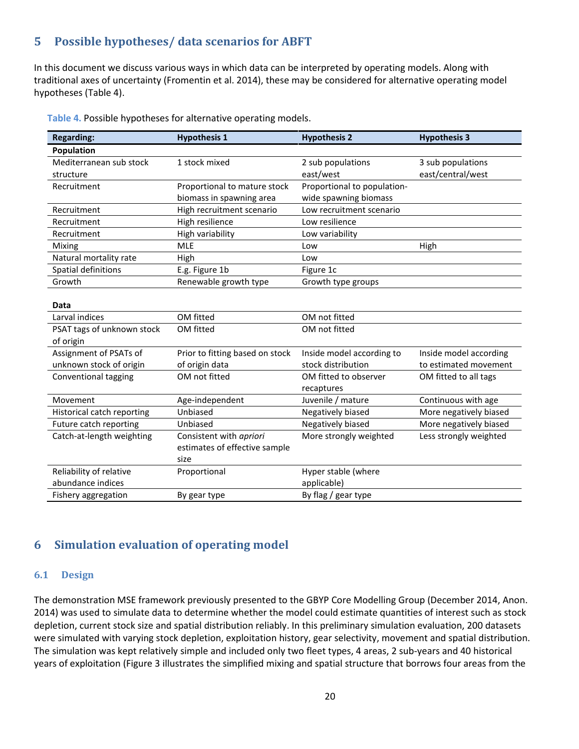# 5 Possible hypotheses/ data scenarios for ABFT

In this document we discuss various ways in which data can be interpreted by operating models. Along with traditional axes of uncertainty (Fromentin et al. 2014), these may be considered for alternative operating model hypotheses (Table 4).

| <b>Regarding:</b>          | <b>Hypothesis 1</b>             | <b>Hypothesis 2</b>         | <b>Hypothesis 3</b>    |  |
|----------------------------|---------------------------------|-----------------------------|------------------------|--|
| <b>Population</b>          |                                 |                             |                        |  |
| Mediterranean sub stock    | 1 stock mixed                   | 2 sub populations           | 3 sub populations      |  |
| structure                  |                                 | east/west                   | east/central/west      |  |
| Recruitment                | Proportional to mature stock    | Proportional to population- |                        |  |
|                            | biomass in spawning area        | wide spawning biomass       |                        |  |
| Recruitment                | High recruitment scenario       | Low recruitment scenario    |                        |  |
| Recruitment                | High resilience                 | Low resilience              |                        |  |
| Recruitment                | High variability                | Low variability             |                        |  |
| Mixing                     | <b>MLE</b>                      | Low                         | High                   |  |
| Natural mortality rate     | High                            | Low                         |                        |  |
| Spatial definitions        | E.g. Figure 1b                  | Figure 1c                   |                        |  |
| Growth                     | Renewable growth type           | Growth type groups          |                        |  |
|                            |                                 |                             |                        |  |
| Data                       |                                 |                             |                        |  |
| Larval indices             | OM fitted                       | OM not fitted               |                        |  |
| PSAT tags of unknown stock | OM fitted                       | OM not fitted               |                        |  |
| of origin                  |                                 |                             |                        |  |
| Assignment of PSATs of     | Prior to fitting based on stock | Inside model according to   | Inside model according |  |
| unknown stock of origin    | of origin data                  | stock distribution          | to estimated movement  |  |
| Conventional tagging       | OM not fitted                   | OM fitted to observer       | OM fitted to all tags  |  |
|                            |                                 | recaptures                  |                        |  |
| Movement                   | Age-independent                 | Juvenile / mature           | Continuous with age    |  |
| Historical catch reporting | Unbiased                        | Negatively biased           | More negatively biased |  |
| Future catch reporting     | Unbiased                        | Negatively biased           | More negatively biased |  |
| Catch-at-length weighting  | Consistent with apriori         | More strongly weighted      | Less strongly weighted |  |
|                            | estimates of effective sample   |                             |                        |  |
|                            | size                            |                             |                        |  |
| Reliability of relative    | Proportional                    | Hyper stable (where         |                        |  |
| abundance indices          |                                 | applicable)                 |                        |  |
| Fishery aggregation        | By gear type                    | By flag / gear type         |                        |  |

Table 4. Possible hypotheses for alternative operating models.

# 6 Simulation evaluation of operating model

#### 6.1 Design

The demonstration MSE framework previously presented to the GBYP Core Modelling Group (December 2014, Anon. 2014) was used to simulate data to determine whether the model could estimate quantities of interest such as stock depletion, current stock size and spatial distribution reliably. In this preliminary simulation evaluation, 200 datasets were simulated with varying stock depletion, exploitation history, gear selectivity, movement and spatial distribution. The simulation was kept relatively simple and included only two fleet types, 4 areas, 2 sub-years and 40 historical years of exploitation (Figure 3 illustrates the simplified mixing and spatial structure that borrows four areas from the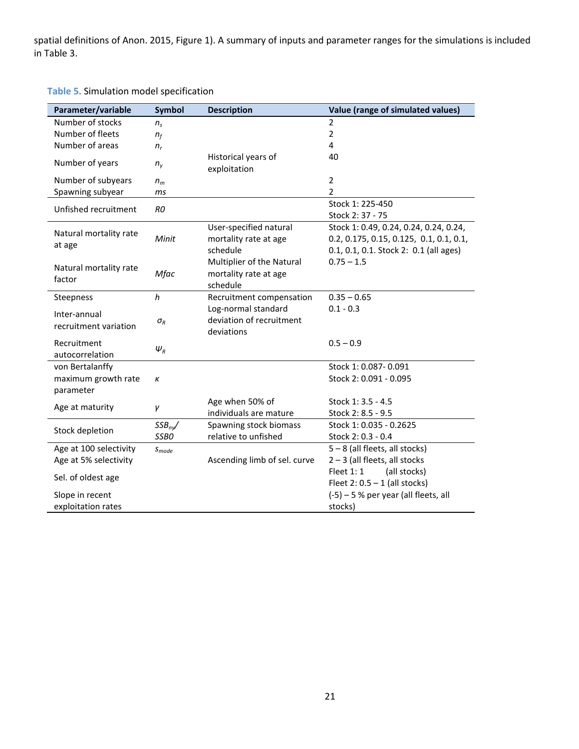spatial definitions of Anon. 2015, Figure 1). A summary of inputs and parameter ranges for the simulations is included in Table 3.

| Parameter/variable                    | <b>Symbol</b>                 | <b>Description</b>                                             | Value (range of simulated values)                                                                                           |
|---------------------------------------|-------------------------------|----------------------------------------------------------------|-----------------------------------------------------------------------------------------------------------------------------|
| Number of stocks                      | n <sub>s</sub>                |                                                                | $\overline{2}$                                                                                                              |
| Number of fleets                      | $n_f$                         |                                                                | $\overline{2}$                                                                                                              |
| Number of areas                       | $n_r$                         |                                                                | $\overline{4}$                                                                                                              |
| Number of years                       | $n_{y}$                       | Historical years of<br>exploitation                            | 40                                                                                                                          |
| Number of subyears                    | $n_m$                         |                                                                | $\overline{2}$                                                                                                              |
| Spawning subyear                      | ms                            |                                                                | $\overline{2}$                                                                                                              |
| Unfished recruitment                  | R <sub>0</sub>                |                                                                | Stock 1: 225-450                                                                                                            |
|                                       |                               |                                                                | Stock 2: 37 - 75                                                                                                            |
| Natural mortality rate<br>at age      | Minit                         | User-specified natural<br>mortality rate at age<br>schedule    | Stock 1: 0.49, 0.24, 0.24, 0.24, 0.24,<br>0.2, 0.175, 0.15, 0.125, 0.1, 0.1, 0.1,<br>0.1, 0.1, 0.1. Stock 2: 0.1 (all ages) |
| Natural mortality rate<br>factor      | Mfac                          | Multiplier of the Natural<br>mortality rate at age<br>schedule | $0.75 - 1.5$                                                                                                                |
| Steepness                             | h                             | Recruitment compensation                                       | $0.35 - 0.65$                                                                                                               |
| Inter-annual<br>recruitment variation | $\sigma_{\rm R}$              | Log-normal standard<br>deviation of recruitment<br>deviations  | $0.1 - 0.3$                                                                                                                 |
| Recruitment<br>autocorrelation        | $\psi_{\scriptscriptstyle R}$ |                                                                | $0.5 - 0.9$                                                                                                                 |
| von Bertalanffy                       |                               |                                                                | Stock 1: 0.087-0.091                                                                                                        |
| maximum growth rate<br>parameter      | κ                             |                                                                | Stock 2: 0.091 - 0.095                                                                                                      |
|                                       |                               | Age when 50% of                                                | Stock 1: 3.5 - 4.5                                                                                                          |
| Age at maturity                       | γ                             | individuals are mature                                         | Stock 2: 8.5 - 9.5                                                                                                          |
|                                       | $SSB_{n\nu}$                  | Spawning stock biomass                                         | Stock 1: 0.035 - 0.2625                                                                                                     |
| Stock depletion                       | SSB <sub>0</sub>              | relative to unfished                                           | Stock 2: 0.3 - 0.4                                                                                                          |
| Age at 100 selectivity                | $S_{mode}$                    |                                                                | $5 - 8$ (all fleets, all stocks)                                                                                            |
| Age at 5% selectivity                 |                               | Ascending limb of sel. curve                                   | $2 - 3$ (all fleets, all stocks                                                                                             |
| Sel. of oldest age                    |                               |                                                                | Fleet $1:1$<br>(all stocks)                                                                                                 |
|                                       |                               |                                                                | Fleet $2: 0.5 - 1$ (all stocks)                                                                                             |
| Slope in recent                       |                               |                                                                | $(-5) - 5$ % per year (all fleets, all                                                                                      |
| exploitation rates                    |                               |                                                                | stocks)                                                                                                                     |

Table 5. Simulation model specification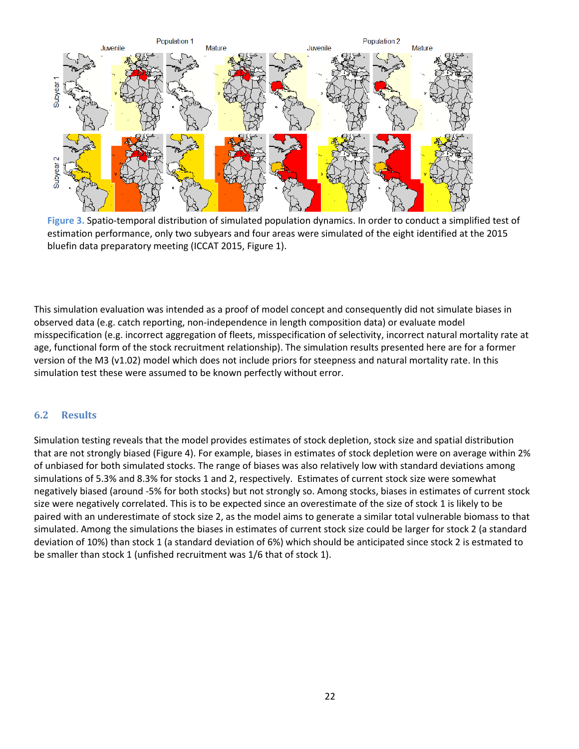

Figure 3. Spatio-temporal distribution of simulated population dynamics. In order to conduct a simplified test of estimation performance, only two subyears and four areas were simulated of the eight identified at the 2015 bluefin data preparatory meeting (ICCAT 2015, Figure 1).

This simulation evaluation was intended as a proof of model concept and consequently did not simulate biases in observed data (e.g. catch reporting, non-independence in length composition data) or evaluate model misspecification (e.g. incorrect aggregation of fleets, misspecification of selectivity, incorrect natural mortality rate at age, functional form of the stock recruitment relationship). The simulation results presented here are for a former version of the M3 (v1.02) model which does not include priors for steepness and natural mortality rate. In this simulation test these were assumed to be known perfectly without error.

#### 6.2 Results

Simulation testing reveals that the model provides estimates of stock depletion, stock size and spatial distribution that are not strongly biased (Figure 4). For example, biases in estimates of stock depletion were on average within 2% of unbiased for both simulated stocks. The range of biases was also relatively low with standard deviations among simulations of 5.3% and 8.3% for stocks 1 and 2, respectively. Estimates of current stock size were somewhat negatively biased (around -5% for both stocks) but not strongly so. Among stocks, biases in estimates of current stock size were negatively correlated. This is to be expected since an overestimate of the size of stock 1 is likely to be paired with an underestimate of stock size 2, as the model aims to generate a similar total vulnerable biomass to that simulated. Among the simulations the biases in estimates of current stock size could be larger for stock 2 (a standard deviation of 10%) than stock 1 (a standard deviation of 6%) which should be anticipated since stock 2 is estmated to be smaller than stock 1 (unfished recruitment was 1/6 that of stock 1).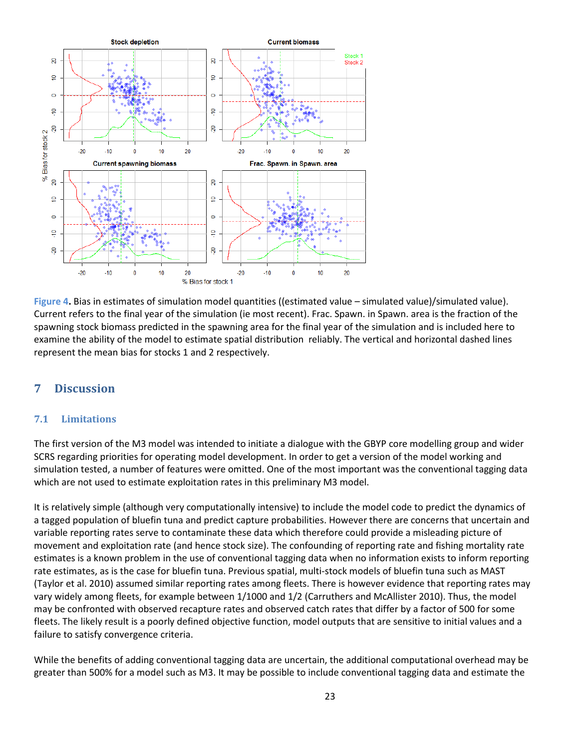

Figure 4. Bias in estimates of simulation model quantities ((estimated value – simulated value)/simulated value). Current refers to the final year of the simulation (ie most recent). Frac. Spawn. in Spawn. area is the fraction of the spawning stock biomass predicted in the spawning area for the final year of the simulation and is included here to examine the ability of the model to estimate spatial distribution reliably. The vertical and horizontal dashed lines represent the mean bias for stocks 1 and 2 respectively.

# 7 Discussion

#### 7.1 Limitations

The first version of the M3 model was intended to initiate a dialogue with the GBYP core modelling group and wider SCRS regarding priorities for operating model development. In order to get a version of the model working and simulation tested, a number of features were omitted. One of the most important was the conventional tagging data which are not used to estimate exploitation rates in this preliminary M3 model.

It is relatively simple (although very computationally intensive) to include the model code to predict the dynamics of a tagged population of bluefin tuna and predict capture probabilities. However there are concerns that uncertain and variable reporting rates serve to contaminate these data which therefore could provide a misleading picture of movement and exploitation rate (and hence stock size). The confounding of reporting rate and fishing mortality rate estimates is a known problem in the use of conventional tagging data when no information exists to inform reporting rate estimates, as is the case for bluefin tuna. Previous spatial, multi-stock models of bluefin tuna such as MAST (Taylor et al. 2010) assumed similar reporting rates among fleets. There is however evidence that reporting rates may vary widely among fleets, for example between 1/1000 and 1/2 (Carruthers and McAllister 2010). Thus, the model may be confronted with observed recapture rates and observed catch rates that differ by a factor of 500 for some fleets. The likely result is a poorly defined objective function, model outputs that are sensitive to initial values and a failure to satisfy convergence criteria.

While the benefits of adding conventional tagging data are uncertain, the additional computational overhead may be greater than 500% for a model such as M3. It may be possible to include conventional tagging data and estimate the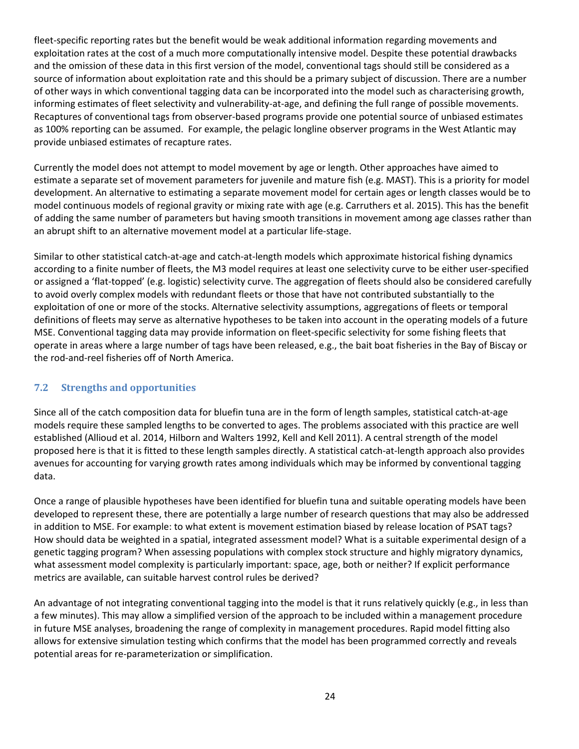fleet-specific reporting rates but the benefit would be weak additional information regarding movements and exploitation rates at the cost of a much more computationally intensive model. Despite these potential drawbacks and the omission of these data in this first version of the model, conventional tags should still be considered as a source of information about exploitation rate and this should be a primary subject of discussion. There are a number of other ways in which conventional tagging data can be incorporated into the model such as characterising growth, informing estimates of fleet selectivity and vulnerability-at-age, and defining the full range of possible movements. Recaptures of conventional tags from observer-based programs provide one potential source of unbiased estimates as 100% reporting can be assumed. For example, the pelagic longline observer programs in the West Atlantic may provide unbiased estimates of recapture rates.

Currently the model does not attempt to model movement by age or length. Other approaches have aimed to estimate a separate set of movement parameters for juvenile and mature fish (e.g. MAST). This is a priority for model development. An alternative to estimating a separate movement model for certain ages or length classes would be to model continuous models of regional gravity or mixing rate with age (e.g. Carruthers et al. 2015). This has the benefit of adding the same number of parameters but having smooth transitions in movement among age classes rather than an abrupt shift to an alternative movement model at a particular life-stage.

Similar to other statistical catch-at-age and catch-at-length models which approximate historical fishing dynamics according to a finite number of fleets, the M3 model requires at least one selectivity curve to be either user-specified or assigned a 'flat-topped' (e.g. logistic) selectivity curve. The aggregation of fleets should also be considered carefully to avoid overly complex models with redundant fleets or those that have not contributed substantially to the exploitation of one or more of the stocks. Alternative selectivity assumptions, aggregations of fleets or temporal definitions of fleets may serve as alternative hypotheses to be taken into account in the operating models of a future MSE. Conventional tagging data may provide information on fleet-specific selectivity for some fishing fleets that operate in areas where a large number of tags have been released, e.g., the bait boat fisheries in the Bay of Biscay or the rod-and-reel fisheries off of North America.

## 7.2 Strengths and opportunities

Since all of the catch composition data for bluefin tuna are in the form of length samples, statistical catch-at-age models require these sampled lengths to be converted to ages. The problems associated with this practice are well established (Allioud et al. 2014, Hilborn and Walters 1992, Kell and Kell 2011). A central strength of the model proposed here is that it is fitted to these length samples directly. A statistical catch-at-length approach also provides avenues for accounting for varying growth rates among individuals which may be informed by conventional tagging data.

Once a range of plausible hypotheses have been identified for bluefin tuna and suitable operating models have been developed to represent these, there are potentially a large number of research questions that may also be addressed in addition to MSE. For example: to what extent is movement estimation biased by release location of PSAT tags? How should data be weighted in a spatial, integrated assessment model? What is a suitable experimental design of a genetic tagging program? When assessing populations with complex stock structure and highly migratory dynamics, what assessment model complexity is particularly important: space, age, both or neither? If explicit performance metrics are available, can suitable harvest control rules be derived?

An advantage of not integrating conventional tagging into the model is that it runs relatively quickly (e.g., in less than a few minutes). This may allow a simplified version of the approach to be included within a management procedure in future MSE analyses, broadening the range of complexity in management procedures. Rapid model fitting also allows for extensive simulation testing which confirms that the model has been programmed correctly and reveals potential areas for re-parameterization or simplification.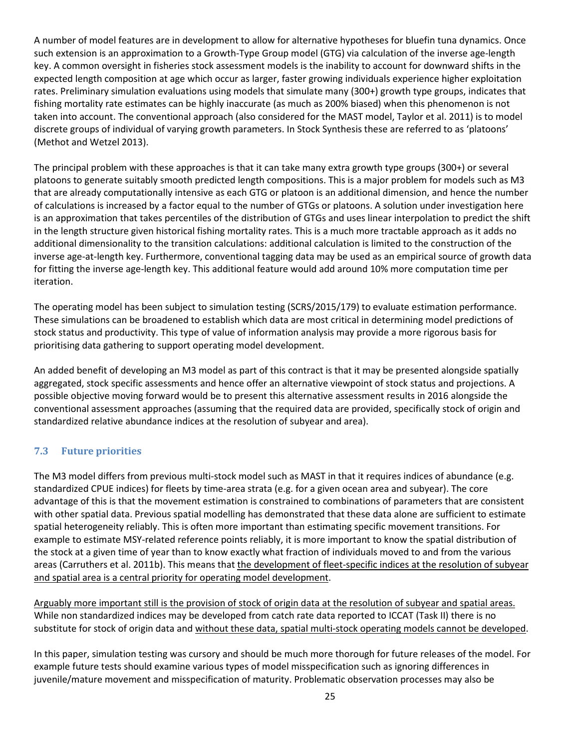A number of model features are in development to allow for alternative hypotheses for bluefin tuna dynamics. Once such extension is an approximation to a Growth-Type Group model (GTG) via calculation of the inverse age-length key. A common oversight in fisheries stock assessment models is the inability to account for downward shifts in the expected length composition at age which occur as larger, faster growing individuals experience higher exploitation rates. Preliminary simulation evaluations using models that simulate many (300+) growth type groups, indicates that fishing mortality rate estimates can be highly inaccurate (as much as 200% biased) when this phenomenon is not taken into account. The conventional approach (also considered for the MAST model, Taylor et al. 2011) is to model discrete groups of individual of varying growth parameters. In Stock Synthesis these are referred to as 'platoons' (Methot and Wetzel 2013).

The principal problem with these approaches is that it can take many extra growth type groups (300+) or several platoons to generate suitably smooth predicted length compositions. This is a major problem for models such as M3 that are already computationally intensive as each GTG or platoon is an additional dimension, and hence the number of calculations is increased by a factor equal to the number of GTGs or platoons. A solution under investigation here is an approximation that takes percentiles of the distribution of GTGs and uses linear interpolation to predict the shift in the length structure given historical fishing mortality rates. This is a much more tractable approach as it adds no additional dimensionality to the transition calculations: additional calculation is limited to the construction of the inverse age-at-length key. Furthermore, conventional tagging data may be used as an empirical source of growth data for fitting the inverse age-length key. This additional feature would add around 10% more computation time per iteration.

The operating model has been subject to simulation testing (SCRS/2015/179) to evaluate estimation performance. These simulations can be broadened to establish which data are most critical in determining model predictions of stock status and productivity. This type of value of information analysis may provide a more rigorous basis for prioritising data gathering to support operating model development.

An added benefit of developing an M3 model as part of this contract is that it may be presented alongside spatially aggregated, stock specific assessments and hence offer an alternative viewpoint of stock status and projections. A possible objective moving forward would be to present this alternative assessment results in 2016 alongside the conventional assessment approaches (assuming that the required data are provided, specifically stock of origin and standardized relative abundance indices at the resolution of subyear and area).

## 7.3 Future priorities

The M3 model differs from previous multi-stock model such as MAST in that it requires indices of abundance (e.g. standardized CPUE indices) for fleets by time-area strata (e.g. for a given ocean area and subyear). The core advantage of this is that the movement estimation is constrained to combinations of parameters that are consistent with other spatial data. Previous spatial modelling has demonstrated that these data alone are sufficient to estimate spatial heterogeneity reliably. This is often more important than estimating specific movement transitions. For example to estimate MSY-related reference points reliably, it is more important to know the spatial distribution of the stock at a given time of year than to know exactly what fraction of individuals moved to and from the various areas (Carruthers et al. 2011b). This means that the development of fleet-specific indices at the resolution of subyear and spatial area is a central priority for operating model development.

Arguably more important still is the provision of stock of origin data at the resolution of subyear and spatial areas. While non standardized indices may be developed from catch rate data reported to ICCAT (Task II) there is no substitute for stock of origin data and without these data, spatial multi-stock operating models cannot be developed.

In this paper, simulation testing was cursory and should be much more thorough for future releases of the model. For example future tests should examine various types of model misspecification such as ignoring differences in juvenile/mature movement and misspecification of maturity. Problematic observation processes may also be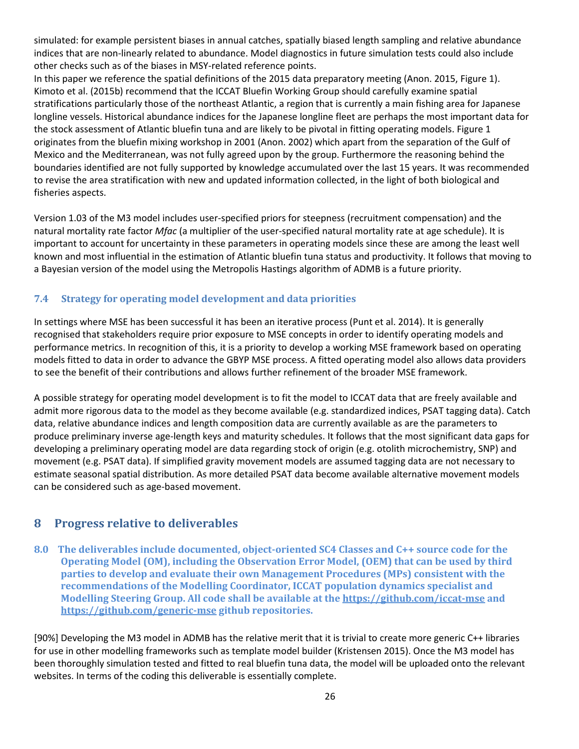simulated: for example persistent biases in annual catches, spatially biased length sampling and relative abundance indices that are non-linearly related to abundance. Model diagnostics in future simulation tests could also include other checks such as of the biases in MSY-related reference points.

In this paper we reference the spatial definitions of the 2015 data preparatory meeting (Anon. 2015, Figure 1). Kimoto et al. (2015b) recommend that the ICCAT Bluefin Working Group should carefully examine spatial stratifications particularly those of the northeast Atlantic, a region that is currently a main fishing area for Japanese longline vessels. Historical abundance indices for the Japanese longline fleet are perhaps the most important data for the stock assessment of Atlantic bluefin tuna and are likely to be pivotal in fitting operating models. Figure 1 originates from the bluefin mixing workshop in 2001 (Anon. 2002) which apart from the separation of the Gulf of Mexico and the Mediterranean, was not fully agreed upon by the group. Furthermore the reasoning behind the boundaries identified are not fully supported by knowledge accumulated over the last 15 years. It was recommended to revise the area stratification with new and updated information collected, in the light of both biological and fisheries aspects.

Version 1.03 of the M3 model includes user-specified priors for steepness (recruitment compensation) and the natural mortality rate factor Mfac (a multiplier of the user-specified natural mortality rate at age schedule). It is important to account for uncertainty in these parameters in operating models since these are among the least well known and most influential in the estimation of Atlantic bluefin tuna status and productivity. It follows that moving to a Bayesian version of the model using the Metropolis Hastings algorithm of ADMB is a future priority.

## 7.4 Strategy for operating model development and data priorities

In settings where MSE has been successful it has been an iterative process (Punt et al. 2014). It is generally recognised that stakeholders require prior exposure to MSE concepts in order to identify operating models and performance metrics. In recognition of this, it is a priority to develop a working MSE framework based on operating models fitted to data in order to advance the GBYP MSE process. A fitted operating model also allows data providers to see the benefit of their contributions and allows further refinement of the broader MSE framework.

A possible strategy for operating model development is to fit the model to ICCAT data that are freely available and admit more rigorous data to the model as they become available (e.g. standardized indices, PSAT tagging data). Catch data, relative abundance indices and length composition data are currently available as are the parameters to produce preliminary inverse age-length keys and maturity schedules. It follows that the most significant data gaps for developing a preliminary operating model are data regarding stock of origin (e.g. otolith microchemistry, SNP) and movement (e.g. PSAT data). If simplified gravity movement models are assumed tagging data are not necessary to estimate seasonal spatial distribution. As more detailed PSAT data become available alternative movement models can be considered such as age-based movement.

# 8 Progress relative to deliverables

8.0 The deliverables include documented, object-oriented SC4 Classes and C++ source code for the Operating Model (OM), including the Observation Error Model, (OEM) that can be used by third parties to develop and evaluate their own Management Procedures (MPs) consistent with the recommendations of the Modelling Coordinator, ICCAT population dynamics specialist and Modelling Steering Group. All code shall be available at the https://github.com/iccat-mse and https://github.com/generic-mse github repositories.

[90%] Developing the M3 model in ADMB has the relative merit that it is trivial to create more generic C++ libraries for use in other modelling frameworks such as template model builder (Kristensen 2015). Once the M3 model has been thoroughly simulation tested and fitted to real bluefin tuna data, the model will be uploaded onto the relevant websites. In terms of the coding this deliverable is essentially complete.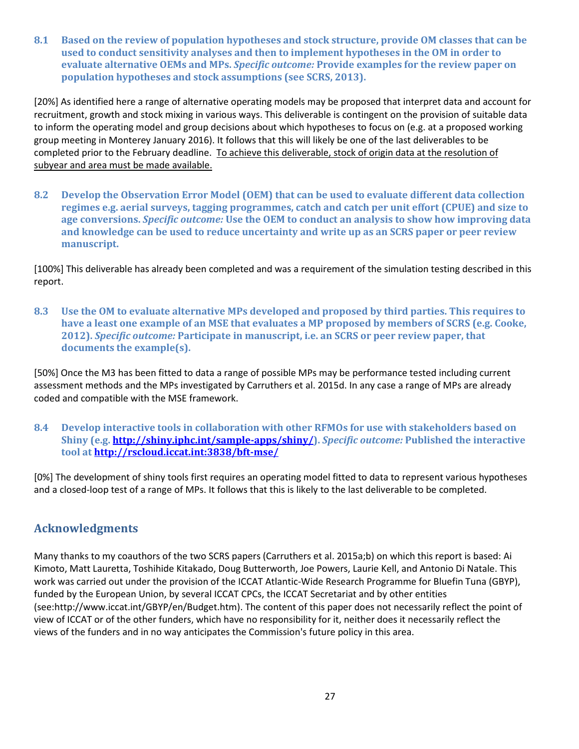8.1 Based on the review of population hypotheses and stock structure, provide OM classes that can be used to conduct sensitivity analyses and then to implement hypotheses in the OM in order to evaluate alternative OEMs and MPs. Specific outcome: Provide examples for the review paper on population hypotheses and stock assumptions (see SCRS, 2013).

[20%] As identified here a range of alternative operating models may be proposed that interpret data and account for recruitment, growth and stock mixing in various ways. This deliverable is contingent on the provision of suitable data to inform the operating model and group decisions about which hypotheses to focus on (e.g. at a proposed working group meeting in Monterey January 2016). It follows that this will likely be one of the last deliverables to be completed prior to the February deadline. To achieve this deliverable, stock of origin data at the resolution of subyear and area must be made available.

8.2 Develop the Observation Error Model (OEM) that can be used to evaluate different data collection regimes e.g. aerial surveys, tagging programmes, catch and catch per unit effort (CPUE) and size to age conversions. Specific outcome: Use the OEM to conduct an analysis to show how improving data and knowledge can be used to reduce uncertainty and write up as an SCRS paper or peer review manuscript.

[100%] This deliverable has already been completed and was a requirement of the simulation testing described in this report.

8.3 Use the OM to evaluate alternative MPs developed and proposed by third parties. This requires to have a least one example of an MSE that evaluates a MP proposed by members of SCRS (e.g. Cooke, 2012). Specific outcome: Participate in manuscript, i.e. an SCRS or peer review paper, that documents the example(s).

[50%] Once the M3 has been fitted to data a range of possible MPs may be performance tested including current assessment methods and the MPs investigated by Carruthers et al. 2015d. In any case a range of MPs are already coded and compatible with the MSE framework.

8.4 Develop interactive tools in collaboration with other RFMOs for use with stakeholders based on Shiny (e.g. http://shiny.iphc.int/sample-apps/shiny/). Specific outcome: Published the interactive tool at http://rscloud.iccat.int:3838/bft-mse/

[0%] The development of shiny tools first requires an operating model fitted to data to represent various hypotheses and a closed-loop test of a range of MPs. It follows that this is likely to the last deliverable to be completed.

# Acknowledgments

Many thanks to my coauthors of the two SCRS papers (Carruthers et al. 2015a;b) on which this report is based: Ai Kimoto, Matt Lauretta, Toshihide Kitakado, Doug Butterworth, Joe Powers, Laurie Kell, and Antonio Di Natale. This work was carried out under the provision of the ICCAT Atlantic-Wide Research Programme for Bluefin Tuna (GBYP), funded by the European Union, by several ICCAT CPCs, the ICCAT Secretariat and by other entities (see:http://www.iccat.int/GBYP/en/Budget.htm). The content of this paper does not necessarily reflect the point of view of ICCAT or of the other funders, which have no responsibility for it, neither does it necessarily reflect the views of the funders and in no way anticipates the Commission's future policy in this area.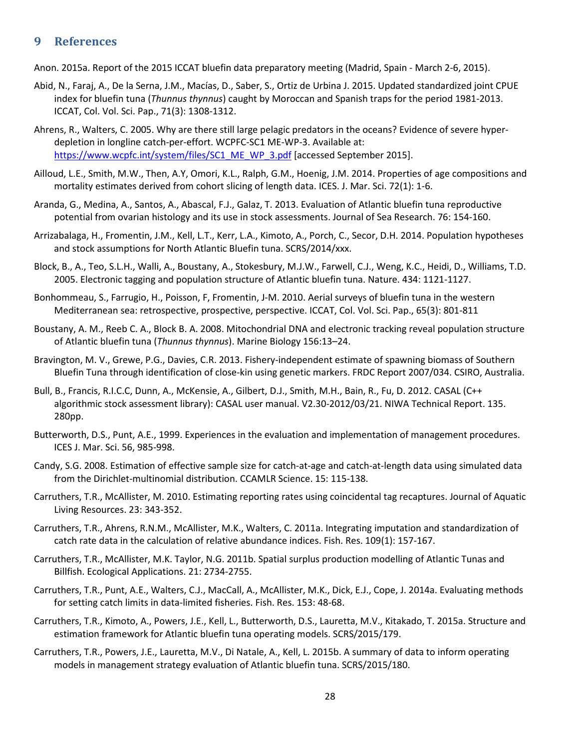## 9 References

Anon. 2015a. Report of the 2015 ICCAT bluefin data preparatory meeting (Madrid, Spain - March 2-6, 2015).

- Abid, N., Faraj, A., De la Serna, J.M., Macías, D., Saber, S., Ortiz de Urbina J. 2015. Updated standardized joint CPUE index for bluefin tuna (Thunnus thynnus) caught by Moroccan and Spanish traps for the period 1981-2013. ICCAT, Col. Vol. Sci. Pap., 71(3): 1308-1312.
- Ahrens, R., Walters, C. 2005. Why are there still large pelagic predators in the oceans? Evidence of severe hyperdepletion in longline catch-per-effort. WCPFC-SC1 ME-WP-3. Available at: https://www.wcpfc.int/system/files/SC1\_ME\_WP\_3.pdf [accessed September 2015].
- Ailloud, L.E., Smith, M.W., Then, A.Y, Omori, K.L., Ralph, G.M., Hoenig, J.M. 2014. Properties of age compositions and mortality estimates derived from cohort slicing of length data. ICES. J. Mar. Sci. 72(1): 1-6.
- Aranda, G., Medina, A., Santos, A., Abascal, F.J., Galaz, T. 2013. Evaluation of Atlantic bluefin tuna reproductive potential from ovarian histology and its use in stock assessments. Journal of Sea Research. 76: 154-160.
- Arrizabalaga, H., Fromentin, J.M., Kell, L.T., Kerr, L.A., Kimoto, A., Porch, C., Secor, D.H. 2014. Population hypotheses and stock assumptions for North Atlantic Bluefin tuna. SCRS/2014/xxx.
- Block, B., A., Teo, S.L.H., Walli, A., Boustany, A., Stokesbury, M.J.W., Farwell, C.J., Weng, K.C., Heidi, D., Williams, T.D. 2005. Electronic tagging and population structure of Atlantic bluefin tuna. Nature. 434: 1121-1127.
- Bonhommeau, S., Farrugio, H., Poisson, F, Fromentin, J-M. 2010. Aerial surveys of bluefin tuna in the western Mediterranean sea: retrospective, prospective, perspective. ICCAT, Col. Vol. Sci. Pap., 65(3): 801-811
- Boustany, A. M., Reeb C. A., Block B. A. 2008. Mitochondrial DNA and electronic tracking reveal population structure of Atlantic bluefin tuna (Thunnus thynnus). Marine Biology 156:13–24.
- Bravington, M. V., Grewe, P.G., Davies, C.R. 2013. Fishery-independent estimate of spawning biomass of Southern Bluefin Tuna through identification of close-kin using genetic markers. FRDC Report 2007/034. CSIRO, Australia.
- Bull, B., Francis, R.I.C.C, Dunn, A., McKensie, A., Gilbert, D.J., Smith, M.H., Bain, R., Fu, D. 2012. CASAL (C++ algorithmic stock assessment library): CASAL user manual. V2.30-2012/03/21. NIWA Technical Report. 135. 280pp.
- Butterworth, D.S., Punt, A.E., 1999. Experiences in the evaluation and implementation of management procedures. ICES J. Mar. Sci. 56, 985-998.
- Candy, S.G. 2008. Estimation of effective sample size for catch-at-age and catch-at-length data using simulated data from the Dirichlet-multinomial distribution. CCAMLR Science. 15: 115-138.
- Carruthers, T.R., McAllister, M. 2010. Estimating reporting rates using coincidental tag recaptures. Journal of Aquatic Living Resources. 23: 343-352.
- Carruthers, T.R., Ahrens, R.N.M., McAllister, M.K., Walters, C. 2011a. Integrating imputation and standardization of catch rate data in the calculation of relative abundance indices. Fish. Res. 109(1): 157-167.
- Carruthers, T.R., McAllister, M.K. Taylor, N.G. 2011b. Spatial surplus production modelling of Atlantic Tunas and Billfish. Ecological Applications. 21: 2734-2755.
- Carruthers, T.R., Punt, A.E., Walters, C.J., MacCall, A., McAllister, M.K., Dick, E.J., Cope, J. 2014a. Evaluating methods for setting catch limits in data-limited fisheries. Fish. Res. 153: 48-68.
- Carruthers, T.R., Kimoto, A., Powers, J.E., Kell, L., Butterworth, D.S., Lauretta, M.V., Kitakado, T. 2015a. Structure and estimation framework for Atlantic bluefin tuna operating models. SCRS/2015/179.
- Carruthers, T.R., Powers, J.E., Lauretta, M.V., Di Natale, A., Kell, L. 2015b. A summary of data to inform operating models in management strategy evaluation of Atlantic bluefin tuna. SCRS/2015/180.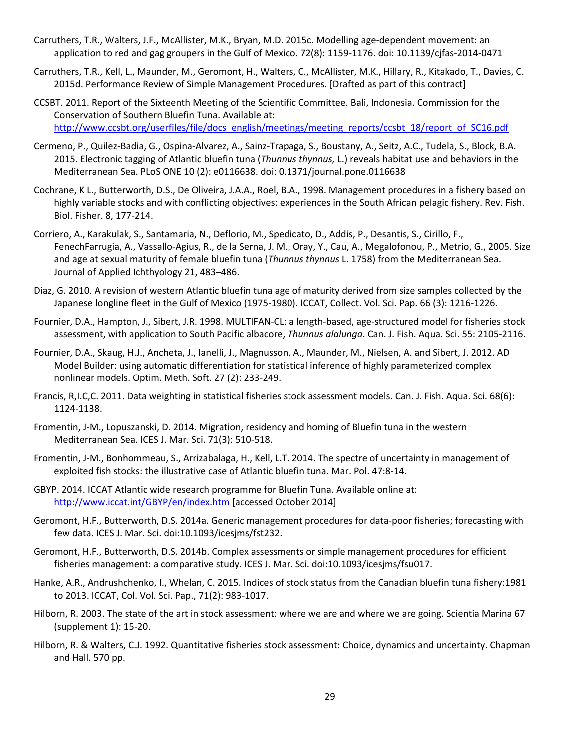- Carruthers, T.R., Walters, J.F., McAllister, M.K., Bryan, M.D. 2015c. Modelling age-dependent movement: an application to red and gag groupers in the Gulf of Mexico. 72(8): 1159-1176. doi: 10.1139/cjfas-2014-0471
- Carruthers, T.R., Kell, L., Maunder, M., Geromont, H., Walters, C., McAllister, M.K., Hillary, R., Kitakado, T., Davies, C. 2015d. Performance Review of Simple Management Procedures. [Drafted as part of this contract]
- CCSBT. 2011. Report of the Sixteenth Meeting of the Scientific Committee. Bali, Indonesia. Commission for the Conservation of Southern Bluefin Tuna. Available at: http://www.ccsbt.org/userfiles/file/docs\_english/meetings/meeting\_reports/ccsbt\_18/report\_of\_SC16.pdf
- Cermeno, P., Quilez-Badia, G., Ospina-Alvarez, A., Sainz-Trapaga, S., Boustany, A., Seitz, A.C., Tudela, S., Block, B.A. 2015. Electronic tagging of Atlantic bluefin tuna (Thunnus thynnus, L.) reveals habitat use and behaviors in the Mediterranean Sea. PLoS ONE 10 (2): e0116638. doi: 0.1371/journal.pone.0116638
- Cochrane, K L., Butterworth, D.S., De Oliveira, J.A.A., Roel, B.A., 1998. Management procedures in a fishery based on highly variable stocks and with conflicting objectives: experiences in the South African pelagic fishery. Rev. Fish. Biol. Fisher. 8, 177-214.
- Corriero, A., Karakulak, S., Santamaria, N., Deflorio, M., Spedicato, D., Addis, P., Desantis, S., Cirillo, F., FenechFarrugia, A., Vassallo-Agius, R., de la Serna, J. M., Oray, Y., Cau, A., Megalofonou, P., Metrio, G., 2005. Size and age at sexual maturity of female bluefin tuna (Thunnus thynnus L. 1758) from the Mediterranean Sea. Journal of Applied Ichthyology 21, 483–486.
- Diaz, G. 2010. A revision of western Atlantic bluefin tuna age of maturity derived from size samples collected by the Japanese longline fleet in the Gulf of Mexico (1975-1980). ICCAT, Collect. Vol. Sci. Pap. 66 (3): 1216-1226.
- Fournier, D.A., Hampton, J., Sibert, J.R. 1998. MULTIFAN-CL: a length-based, age-structured model for fisheries stock assessment, with application to South Pacific albacore, Thunnus alalunga. Can. J. Fish. Aqua. Sci. 55: 2105-2116.
- Fournier, D.A., Skaug, H.J., Ancheta, J., Ianelli, J., Magnusson, A., Maunder, M., Nielsen, A. and Sibert, J. 2012. AD Model Builder: using automatic differentiation for statistical inference of highly parameterized complex nonlinear models. Optim. Meth. Soft. 27 (2): 233-249.
- Francis, R,I.C,C. 2011. Data weighting in statistical fisheries stock assessment models. Can. J. Fish. Aqua. Sci. 68(6): 1124-1138.
- Fromentin, J-M., Lopuszanski, D. 2014. Migration, residency and homing of Bluefin tuna in the western Mediterranean Sea. ICES J. Mar. Sci. 71(3): 510-518.
- Fromentin, J-M., Bonhommeau, S., Arrizabalaga, H., Kell, L.T. 2014. The spectre of uncertainty in management of exploited fish stocks: the illustrative case of Atlantic bluefin tuna. Mar. Pol. 47:8-14.
- GBYP. 2014. ICCAT Atlantic wide research programme for Bluefin Tuna. Available online at: http://www.iccat.int/GBYP/en/index.htm [accessed October 2014]
- Geromont, H.F., Butterworth, D.S. 2014a. Generic management procedures for data-poor fisheries; forecasting with few data. ICES J. Mar. Sci. doi:10.1093/icesjms/fst232.
- Geromont, H.F., Butterworth, D.S. 2014b. Complex assessments or simple management procedures for efficient fisheries management: a comparative study. ICES J. Mar. Sci. doi:10.1093/icesjms/fsu017.
- Hanke, A.R., Andrushchenko, I., Whelan, C. 2015. Indices of stock status from the Canadian bluefin tuna fishery:1981 to 2013. ICCAT, Col. Vol. Sci. Pap., 71(2): 983-1017.
- Hilborn, R. 2003. The state of the art in stock assessment: where we are and where we are going. Scientia Marina 67 (supplement 1): 15-20.
- Hilborn, R. & Walters, C.J. 1992. Quantitative fisheries stock assessment: Choice, dynamics and uncertainty. Chapman and Hall. 570 pp.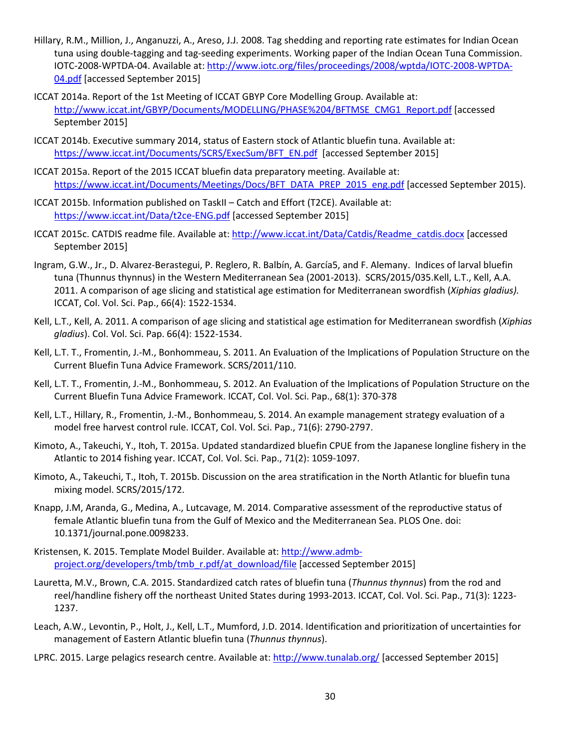- Hillary, R.M., Million, J., Anganuzzi, A., Areso, J.J. 2008. Tag shedding and reporting rate estimates for Indian Ocean tuna using double-tagging and tag-seeding experiments. Working paper of the Indian Ocean Tuna Commission. IOTC-2008-WPTDA-04. Available at: http://www.iotc.org/files/proceedings/2008/wptda/IOTC-2008-WPTDA-04.pdf [accessed September 2015]
- ICCAT 2014a. Report of the 1st Meeting of ICCAT GBYP Core Modelling Group. Available at: http://www.iccat.int/GBYP/Documents/MODELLING/PHASE%204/BFTMSE\_CMG1\_Report.pdf [accessed September 2015]
- ICCAT 2014b. Executive summary 2014, status of Eastern stock of Atlantic bluefin tuna. Available at: https://www.iccat.int/Documents/SCRS/ExecSum/BFT\_EN.pdf [accessed September 2015]
- ICCAT 2015a. Report of the 2015 ICCAT bluefin data preparatory meeting. Available at: https://www.iccat.int/Documents/Meetings/Docs/BFT\_DATA\_PREP\_2015\_eng.pdf [accessed September 2015).
- ICCAT 2015b. Information published on TaskII Catch and Effort (T2CE). Available at: https://www.iccat.int/Data/t2ce-ENG.pdf [accessed September 2015]
- ICCAT 2015c. CATDIS readme file. Available at: http://www.iccat.int/Data/Catdis/Readme\_catdis.docx [accessed September 2015]
- Ingram, G.W., Jr., D. Alvarez-Berastegui, P. Reglero, R. Balbín, A. García5, and F. Alemany. Indices of larval bluefin tuna (Thunnus thynnus) in the Western Mediterranean Sea (2001-2013). SCRS/2015/035.Kell, L.T., Kell, A.A. 2011. A comparison of age slicing and statistical age estimation for Mediterranean swordfish (Xiphias gladius). ICCAT, Col. Vol. Sci. Pap., 66(4): 1522-1534.
- Kell, L.T., Kell, A. 2011. A comparison of age slicing and statistical age estimation for Mediterranean swordfish (Xiphias gladius). Col. Vol. Sci. Pap. 66(4): 1522-1534.
- Kell, L.T. T., Fromentin, J.-M., Bonhommeau, S. 2011. An Evaluation of the Implications of Population Structure on the Current Bluefin Tuna Advice Framework. SCRS/2011/110.
- Kell, L.T. T., Fromentin, J.-M., Bonhommeau, S. 2012. An Evaluation of the Implications of Population Structure on the Current Bluefin Tuna Advice Framework. ICCAT, Col. Vol. Sci. Pap., 68(1): 370-378
- Kell, L.T., Hillary, R., Fromentin, J.-M., Bonhommeau, S. 2014. An example management strategy evaluation of a model free harvest control rule. ICCAT, Col. Vol. Sci. Pap., 71(6): 2790-2797.
- Kimoto, A., Takeuchi, Y., Itoh, T. 2015a. Updated standardized bluefin CPUE from the Japanese longline fishery in the Atlantic to 2014 fishing year. ICCAT, Col. Vol. Sci. Pap., 71(2): 1059-1097.
- Kimoto, A., Takeuchi, T., Itoh, T. 2015b. Discussion on the area stratification in the North Atlantic for bluefin tuna mixing model. SCRS/2015/172.
- Knapp, J.M, Aranda, G., Medina, A., Lutcavage, M. 2014. Comparative assessment of the reproductive status of female Atlantic bluefin tuna from the Gulf of Mexico and the Mediterranean Sea. PLOS One. doi: 10.1371/journal.pone.0098233.
- Kristensen, K. 2015. Template Model Builder. Available at: http://www.admbproject.org/developers/tmb/tmb\_r.pdf/at\_download/file [accessed September 2015]
- Lauretta, M.V., Brown, C.A. 2015. Standardized catch rates of bluefin tuna (Thunnus thynnus) from the rod and reel/handline fishery off the northeast United States during 1993-2013. ICCAT, Col. Vol. Sci. Pap., 71(3): 1223- 1237.
- Leach, A.W., Levontin, P., Holt, J., Kell, L.T., Mumford, J.D. 2014. Identification and prioritization of uncertainties for management of Eastern Atlantic bluefin tuna (Thunnus thynnus).
- LPRC. 2015. Large pelagics research centre. Available at: http://www.tunalab.org/ [accessed September 2015]